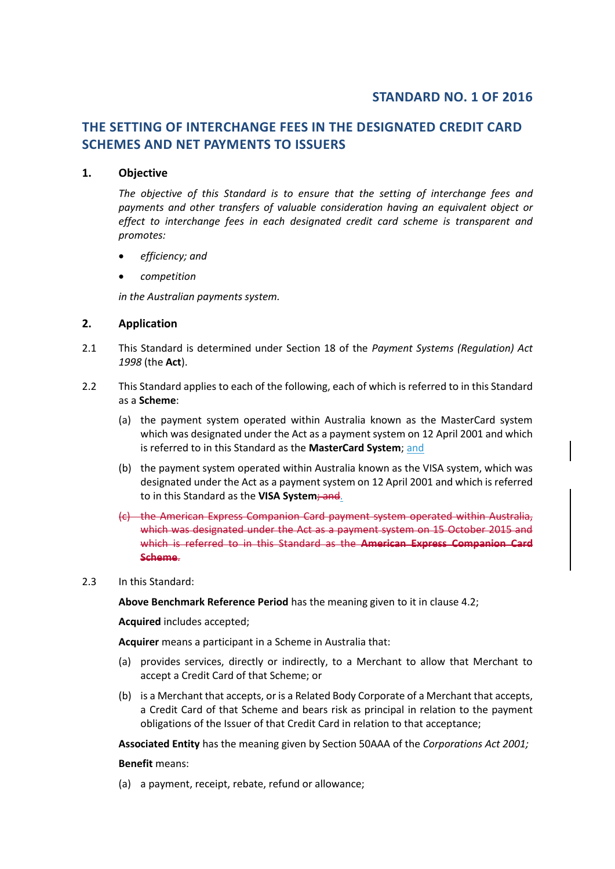# **STANDARD NO. 1 OF 2016**

# **THE SETTING OF INTERCHANGE FEES IN THE DESIGNATED CREDIT CARD SCHEMES AND NET PAYMENTS TO ISSUERS**

### **1. Objective**

*The objective of this Standard is to ensure that the setting of interchange fees and payments and other transfers of valuable consideration having an equivalent object or effect to interchange fees in each designated credit card scheme is transparent and promotes:*

- *efficiency; and*
- *competition*

*in the Australian payments system.* 

## **2. Application**

- 2.1 This Standard is determined under Section 18 of the *Payment Systems (Regulation) Act 1998* (the **Act**).
- 2.2 This Standard applies to each of the following, each of which is referred to in this Standard as a **Scheme**:
	- (a) the payment system operated within Australia known as the MasterCard system which was designated under the Act as a payment system on 12 April 2001 and which is referred to in this Standard as the **MasterCard System**; and
	- (b) the payment system operated within Australia known as the VISA system, which was designated under the Act as a payment system on 12 April 2001 and which is referred to in this Standard as the **VISA System**; and.
	- (c) the American Express Companion Card payment system operated within Australia, which was designated under the Act as a payment system on 15 October 2015 and which is referred to in this Standard as the **American Express Companion Card Scheme**.
- 2.3 In this Standard:

**Above Benchmark Reference Period** has the meaning given to it in clause 4.2;

**Acquired** includes accepted;

**Acquirer** means a participant in a Scheme in Australia that:

- (a) provides services, directly or indirectly, to a Merchant to allow that Merchant to accept a Credit Card of that Scheme; or
- (b) is a Merchant that accepts, or is a Related Body Corporate of a Merchant that accepts, a Credit Card of that Scheme and bears risk as principal in relation to the payment obligations of the Issuer of that Credit Card in relation to that acceptance;

**Associated Entity** has the meaning given by Section 50AAA of the *Corporations Act 2001;*

#### **Benefit** means:

(a) a payment, receipt, rebate, refund or allowance;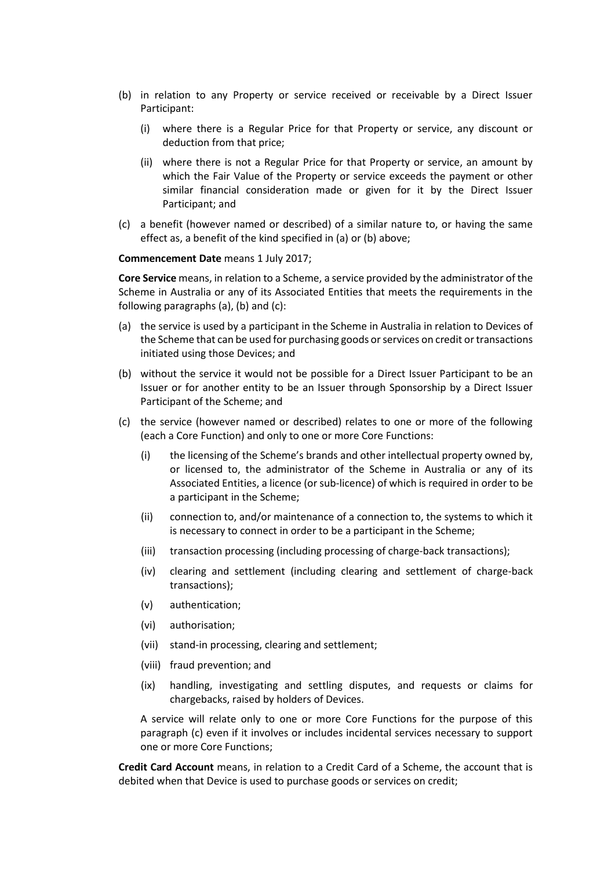- (b) in relation to any Property or service received or receivable by a Direct Issuer Participant:
	- (i) where there is a Regular Price for that Property or service, any discount or deduction from that price;
	- (ii) where there is not a Regular Price for that Property or service, an amount by which the Fair Value of the Property or service exceeds the payment or other similar financial consideration made or given for it by the Direct Issuer Participant; and
- (c) a benefit (however named or described) of a similar nature to, or having the same effect as, a benefit of the kind specified in (a) or (b) above;

**Commencement Date** means 1 July 2017;

**Core Service** means, in relation to a Scheme, a service provided by the administrator of the Scheme in Australia or any of its Associated Entities that meets the requirements in the following paragraphs (a), (b) and (c):

- (a) the service is used by a participant in the Scheme in Australia in relation to Devices of the Scheme that can be used for purchasing goods or services on credit or transactions initiated using those Devices; and
- (b) without the service it would not be possible for a Direct Issuer Participant to be an Issuer or for another entity to be an Issuer through Sponsorship by a Direct Issuer Participant of the Scheme; and
- (c) the service (however named or described) relates to one or more of the following (each a Core Function) and only to one or more Core Functions:
	- (i) the licensing of the Scheme's brands and other intellectual property owned by, or licensed to, the administrator of the Scheme in Australia or any of its Associated Entities, a licence (or sub-licence) of which is required in order to be a participant in the Scheme;
	- (ii) connection to, and/or maintenance of a connection to, the systems to which it is necessary to connect in order to be a participant in the Scheme;
	- (iii) transaction processing (including processing of charge-back transactions);
	- (iv) clearing and settlement (including clearing and settlement of charge-back transactions);
	- (v) authentication;
	- (vi) authorisation;
	- (vii) stand-in processing, clearing and settlement;
	- (viii) fraud prevention; and
	- (ix) handling, investigating and settling disputes, and requests or claims for chargebacks, raised by holders of Devices.

A service will relate only to one or more Core Functions for the purpose of this paragraph (c) even if it involves or includes incidental services necessary to support one or more Core Functions;

**Credit Card Account** means, in relation to a Credit Card of a Scheme, the account that is debited when that Device is used to purchase goods or services on credit;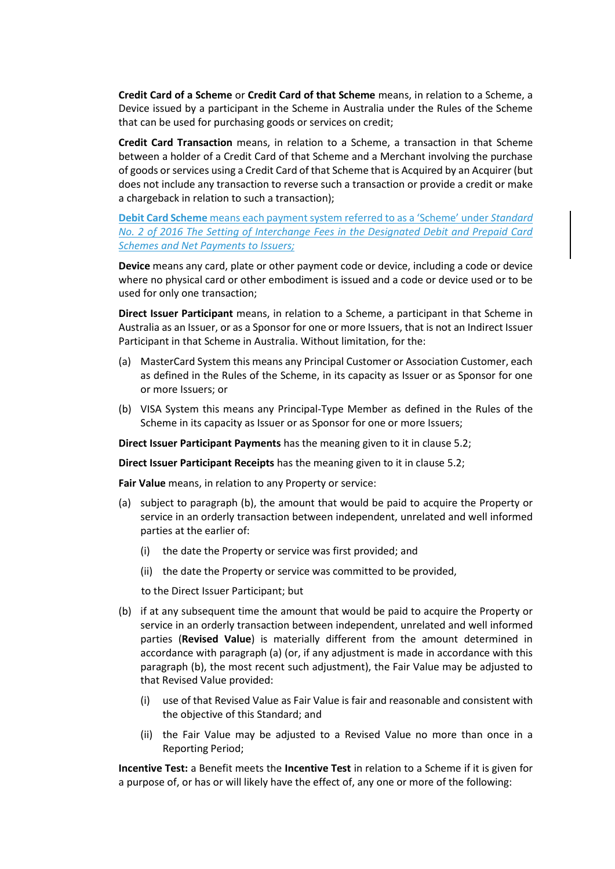**Credit Card of a Scheme** or **Credit Card of that Scheme** means, in relation to a Scheme, a Device issued by a participant in the Scheme in Australia under the Rules of the Scheme that can be used for purchasing goods or services on credit;

**Credit Card Transaction** means, in relation to a Scheme, a transaction in that Scheme between a holder of a Credit Card of that Scheme and a Merchant involving the purchase of goods or services using a Credit Card of that Scheme that is Acquired by an Acquirer (but does not include any transaction to reverse such a transaction or provide a credit or make a chargeback in relation to such a transaction);

**Debit Card Scheme** means each payment system referred to as a 'Scheme' under *Standard No. 2 of 2016 The Setting of Interchange Fees in the Designated Debit and Prepaid Card Schemes and Net Payments to Issuers;*

**Device** means any card, plate or other payment code or device, including a code or device where no physical card or other embodiment is issued and a code or device used or to be used for only one transaction;

**Direct Issuer Participant** means, in relation to a Scheme, a participant in that Scheme in Australia as an Issuer, or as a Sponsor for one or more Issuers, that is not an Indirect Issuer Participant in that Scheme in Australia. Without limitation, for the:

- (a) MasterCard System this means any Principal Customer or Association Customer, each as defined in the Rules of the Scheme, in its capacity as Issuer or as Sponsor for one or more Issuers; or
- (b) VISA System this means any Principal-Type Member as defined in the Rules of the Scheme in its capacity as Issuer or as Sponsor for one or more Issuers;

**Direct Issuer Participant Payments** has the meaning given to it in clause 5.2;

**Direct Issuer Participant Receipts** has the meaning given to it in clause 5.2;

**Fair Value** means, in relation to any Property or service:

- (a) subject to paragraph (b), the amount that would be paid to acquire the Property or service in an orderly transaction between independent, unrelated and well informed parties at the earlier of:
	- (i) the date the Property or service was first provided; and
	- (ii) the date the Property or service was committed to be provided,

to the Direct Issuer Participant; but

- (b) if at any subsequent time the amount that would be paid to acquire the Property or service in an orderly transaction between independent, unrelated and well informed parties (**Revised Value**) is materially different from the amount determined in accordance with paragraph (a) (or, if any adjustment is made in accordance with this paragraph (b), the most recent such adjustment), the Fair Value may be adjusted to that Revised Value provided:
	- (i) use of that Revised Value as Fair Value is fair and reasonable and consistent with the objective of this Standard; and
	- (ii) the Fair Value may be adjusted to a Revised Value no more than once in a Reporting Period;

**Incentive Test:** a Benefit meets the **Incentive Test** in relation to a Scheme if it is given for a purpose of, or has or will likely have the effect of, any one or more of the following: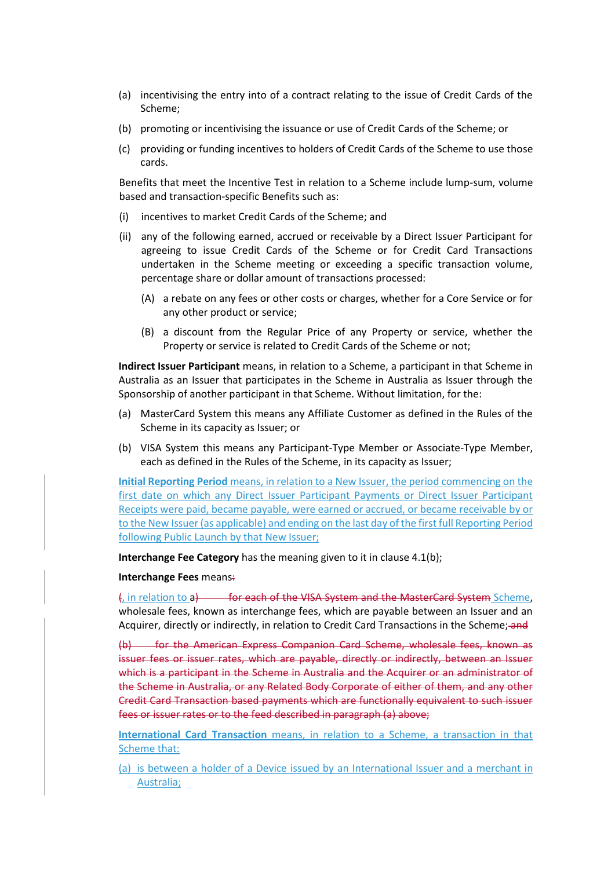- (a) incentivising the entry into of a contract relating to the issue of Credit Cards of the Scheme;
- (b) promoting or incentivising the issuance or use of Credit Cards of the Scheme; or
- (c) providing or funding incentives to holders of Credit Cards of the Scheme to use those cards.

Benefits that meet the Incentive Test in relation to a Scheme include lump-sum, volume based and transaction-specific Benefits such as:

- (i) incentives to market Credit Cards of the Scheme; and
- (ii) any of the following earned, accrued or receivable by a Direct Issuer Participant for agreeing to issue Credit Cards of the Scheme or for Credit Card Transactions undertaken in the Scheme meeting or exceeding a specific transaction volume, percentage share or dollar amount of transactions processed:
	- (A) a rebate on any fees or other costs or charges, whether for a Core Service or for any other product or service;
	- (B) a discount from the Regular Price of any Property or service, whether the Property or service is related to Credit Cards of the Scheme or not;

**Indirect Issuer Participant** means, in relation to a Scheme, a participant in that Scheme in Australia as an Issuer that participates in the Scheme in Australia as Issuer through the Sponsorship of another participant in that Scheme. Without limitation, for the:

- (a) MasterCard System this means any Affiliate Customer as defined in the Rules of the Scheme in its capacity as Issuer; or
- (b) VISA System this means any Participant-Type Member or Associate-Type Member, each as defined in the Rules of the Scheme, in its capacity as Issuer;

**Initial Reporting Period** means, in relation to a New Issuer, the period commencing on the first date on which any Direct Issuer Participant Payments or Direct Issuer Participant Receipts were paid, became payable, were earned or accrued, or became receivable by or to the New Issuer (as applicable) and ending on the last day of the first full Reporting Period following Public Launch by that New Issuer;

**Interchange Fee Category** has the meaning given to it in clause 4.1(b);

#### **Interchange Fees** means:

(, in relation to a) for each of the VISA System and the MasterCard System Scheme, wholesale fees, known as interchange fees, which are payable between an Issuer and an Acquirer, directly or indirectly, in relation to Credit Card Transactions in the Scheme; and

(b) for the American Express Companion Card Scheme, wholesale fees, known as issuer fees or issuer rates, which are payable, directly or indirectly, between an Issuer which is a participant in the Scheme in Australia and the Acquirer or an administrator of the Scheme in Australia, or any Related Body Corporate of either of them, and any other Credit Card Transaction based payments which are functionally equivalent to such issuer fees or issuer rates or to the feed described in paragraph (a) above;

**International Card Transaction** means, in relation to a Scheme, a transaction in that Scheme that:

(a) is between a holder of a Device issued by an International Issuer and a merchant in Australia;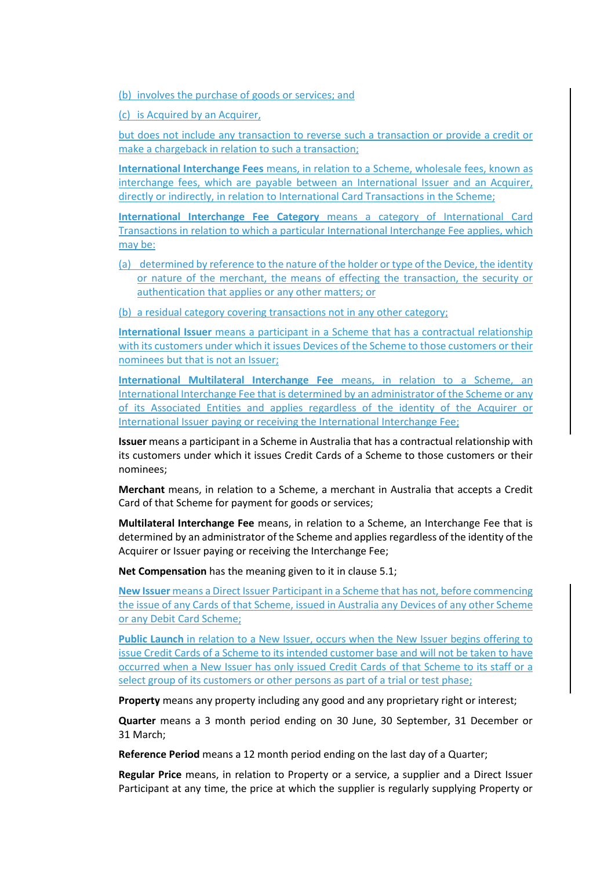(b) involves the purchase of goods or services; and

(c) is Acquired by an Acquirer,

but does not include any transaction to reverse such a transaction or provide a credit or make a chargeback in relation to such a transaction;

**International Interchange Fees** means, in relation to a Scheme, wholesale fees, known as interchange fees, which are payable between an International Issuer and an Acquirer, directly or indirectly, in relation to International Card Transactions in the Scheme;

**International Interchange Fee Category** means a category of International Card Transactions in relation to which a particular International Interchange Fee applies, which may be:

(a) determined by reference to the nature of the holder or type of the Device, the identity or nature of the merchant, the means of effecting the transaction, the security or authentication that applies or any other matters; or

(b) a residual category covering transactions not in any other category;

**International Issuer** means a participant in a Scheme that has a contractual relationship with its customers under which it issues Devices of the Scheme to those customers or their nominees but that is not an Issuer;

**International Multilateral Interchange Fee** means, in relation to a Scheme, an International Interchange Fee that is determined by an administrator of the Scheme or any of its Associated Entities and applies regardless of the identity of the Acquirer or International Issuer paying or receiving the International Interchange Fee;

**Issuer** means a participant in a Scheme in Australia that has a contractual relationship with its customers under which it issues Credit Cards of a Scheme to those customers or their nominees;

**Merchant** means, in relation to a Scheme, a merchant in Australia that accepts a Credit Card of that Scheme for payment for goods or services;

**Multilateral Interchange Fee** means, in relation to a Scheme, an Interchange Fee that is determined by an administrator of the Scheme and applies regardless of the identity of the Acquirer or Issuer paying or receiving the Interchange Fee;

**Net Compensation** has the meaning given to it in clause 5.1;

**New Issuer** means a Direct Issuer Participant in a Scheme that has not, before commencing the issue of any Cards of that Scheme, issued in Australia any Devices of any other Scheme or any Debit Card Scheme;

**Public Launch** in relation to a New Issuer, occurs when the New Issuer begins offering to issue Credit Cards of a Scheme to its intended customer base and will not be taken to have occurred when a New Issuer has only issued Credit Cards of that Scheme to its staff or a select group of its customers or other persons as part of a trial or test phase;

**Property** means any property including any good and any proprietary right or interest;

**Quarter** means a 3 month period ending on 30 June, 30 September, 31 December or 31 March;

**Reference Period** means a 12 month period ending on the last day of a Quarter;

**Regular Price** means, in relation to Property or a service, a supplier and a Direct Issuer Participant at any time, the price at which the supplier is regularly supplying Property or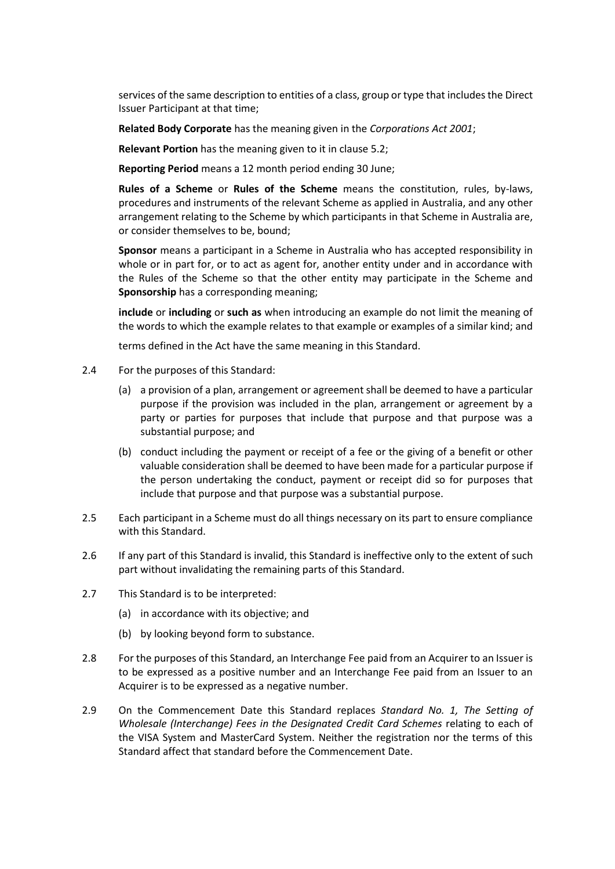services of the same description to entities of a class, group or type that includes the Direct Issuer Participant at that time;

**Related Body Corporate** has the meaning given in the *Corporations Act 2001*;

**Relevant Portion** has the meaning given to it in clause 5.2;

**Reporting Period** means a 12 month period ending 30 June;

**Rules of a Scheme** or **Rules of the Scheme** means the constitution, rules, by-laws, procedures and instruments of the relevant Scheme as applied in Australia, and any other arrangement relating to the Scheme by which participants in that Scheme in Australia are, or consider themselves to be, bound;

**Sponsor** means a participant in a Scheme in Australia who has accepted responsibility in whole or in part for, or to act as agent for, another entity under and in accordance with the Rules of the Scheme so that the other entity may participate in the Scheme and **Sponsorship** has a corresponding meaning;

**include** or **including** or **such as** when introducing an example do not limit the meaning of the words to which the example relates to that example or examples of a similar kind; and

terms defined in the Act have the same meaning in this Standard.

- 2.4 For the purposes of this Standard:
	- (a) a provision of a plan, arrangement or agreement shall be deemed to have a particular purpose if the provision was included in the plan, arrangement or agreement by a party or parties for purposes that include that purpose and that purpose was a substantial purpose; and
	- (b) conduct including the payment or receipt of a fee or the giving of a benefit or other valuable consideration shall be deemed to have been made for a particular purpose if the person undertaking the conduct, payment or receipt did so for purposes that include that purpose and that purpose was a substantial purpose.
- 2.5 Each participant in a Scheme must do all things necessary on its part to ensure compliance with this Standard.
- 2.6 If any part of this Standard is invalid, this Standard is ineffective only to the extent of such part without invalidating the remaining parts of this Standard.
- 2.7 This Standard is to be interpreted:
	- (a) in accordance with its objective; and
	- (b) by looking beyond form to substance.
- 2.8 For the purposes of this Standard, an Interchange Fee paid from an Acquirer to an Issuer is to be expressed as a positive number and an Interchange Fee paid from an Issuer to an Acquirer is to be expressed as a negative number.
- 2.9 On the Commencement Date this Standard replaces *Standard No. 1, The Setting of Wholesale (Interchange) Fees in the Designated Credit Card Schemes* relating to each of the VISA System and MasterCard System. Neither the registration nor the terms of this Standard affect that standard before the Commencement Date.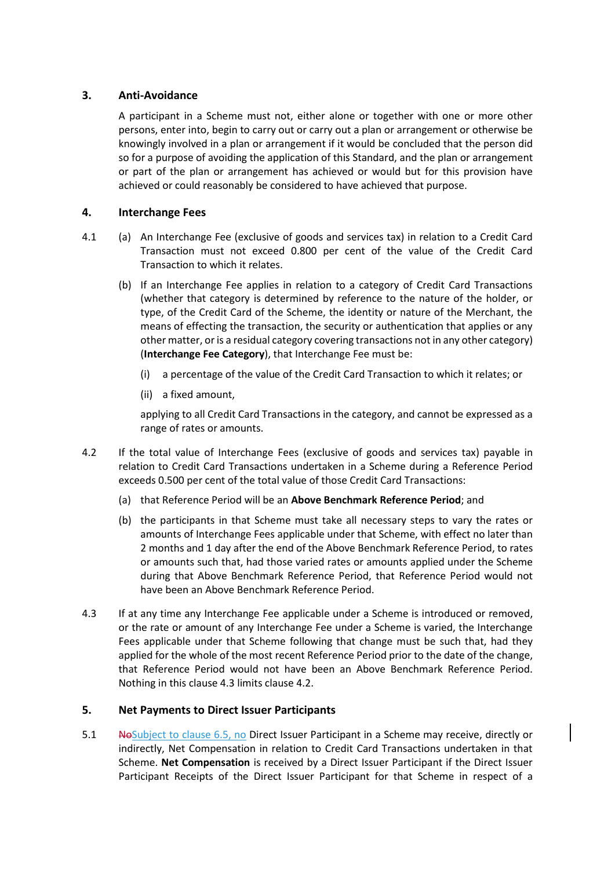# **3. Anti-Avoidance**

A participant in a Scheme must not, either alone or together with one or more other persons, enter into, begin to carry out or carry out a plan or arrangement or otherwise be knowingly involved in a plan or arrangement if it would be concluded that the person did so for a purpose of avoiding the application of this Standard, and the plan or arrangement or part of the plan or arrangement has achieved or would but for this provision have achieved or could reasonably be considered to have achieved that purpose.

### **4. Interchange Fees**

- 4.1 (a) An Interchange Fee (exclusive of goods and services tax) in relation to a Credit Card Transaction must not exceed 0.800 per cent of the value of the Credit Card Transaction to which it relates.
	- (b) If an Interchange Fee applies in relation to a category of Credit Card Transactions (whether that category is determined by reference to the nature of the holder, or type, of the Credit Card of the Scheme, the identity or nature of the Merchant, the means of effecting the transaction, the security or authentication that applies or any other matter, or is a residual category covering transactions not in any other category) (**Interchange Fee Category**), that Interchange Fee must be:
		- (i) a percentage of the value of the Credit Card Transaction to which it relates; or
		- (ii) a fixed amount,

applying to all Credit Card Transactions in the category, and cannot be expressed as a range of rates or amounts.

- 4.2 If the total value of Interchange Fees (exclusive of goods and services tax) payable in relation to Credit Card Transactions undertaken in a Scheme during a Reference Period exceeds 0.500 per cent of the total value of those Credit Card Transactions:
	- (a) that Reference Period will be an **Above Benchmark Reference Period**; and
	- (b) the participants in that Scheme must take all necessary steps to vary the rates or amounts of Interchange Fees applicable under that Scheme, with effect no later than 2 months and 1 day after the end of the Above Benchmark Reference Period, to rates or amounts such that, had those varied rates or amounts applied under the Scheme during that Above Benchmark Reference Period, that Reference Period would not have been an Above Benchmark Reference Period.
- 4.3 If at any time any Interchange Fee applicable under a Scheme is introduced or removed, or the rate or amount of any Interchange Fee under a Scheme is varied, the Interchange Fees applicable under that Scheme following that change must be such that, had they applied for the whole of the most recent Reference Period prior to the date of the change, that Reference Period would not have been an Above Benchmark Reference Period. Nothing in this clause 4.3 limits clause 4.2.

### **5. Net Payments to Direct Issuer Participants**

5.1 No Subject to clause 6.5, no Direct Issuer Participant in a Scheme may receive, directly or indirectly, Net Compensation in relation to Credit Card Transactions undertaken in that Scheme. **Net Compensation** is received by a Direct Issuer Participant if the Direct Issuer Participant Receipts of the Direct Issuer Participant for that Scheme in respect of a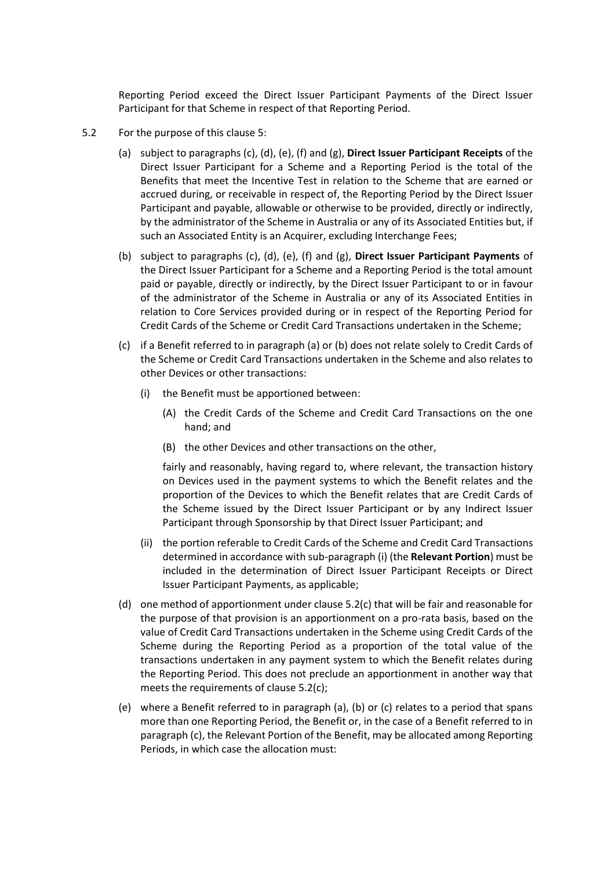Reporting Period exceed the Direct Issuer Participant Payments of the Direct Issuer Participant for that Scheme in respect of that Reporting Period.

- 5.2 For the purpose of this clause 5:
	- (a) subject to paragraphs (c), (d), (e), (f) and (g), **Direct Issuer Participant Receipts** of the Direct Issuer Participant for a Scheme and a Reporting Period is the total of the Benefits that meet the Incentive Test in relation to the Scheme that are earned or accrued during, or receivable in respect of, the Reporting Period by the Direct Issuer Participant and payable, allowable or otherwise to be provided, directly or indirectly, by the administrator of the Scheme in Australia or any of its Associated Entities but, if such an Associated Entity is an Acquirer, excluding Interchange Fees;
	- (b) subject to paragraphs (c), (d), (e), (f) and (g), **Direct Issuer Participant Payments** of the Direct Issuer Participant for a Scheme and a Reporting Period is the total amount paid or payable, directly or indirectly, by the Direct Issuer Participant to or in favour of the administrator of the Scheme in Australia or any of its Associated Entities in relation to Core Services provided during or in respect of the Reporting Period for Credit Cards of the Scheme or Credit Card Transactions undertaken in the Scheme;
	- (c) if a Benefit referred to in paragraph (a) or (b) does not relate solely to Credit Cards of the Scheme or Credit Card Transactions undertaken in the Scheme and also relates to other Devices or other transactions:
		- (i) the Benefit must be apportioned between:
			- (A) the Credit Cards of the Scheme and Credit Card Transactions on the one hand; and
			- (B) the other Devices and other transactions on the other,

fairly and reasonably, having regard to, where relevant, the transaction history on Devices used in the payment systems to which the Benefit relates and the proportion of the Devices to which the Benefit relates that are Credit Cards of the Scheme issued by the Direct Issuer Participant or by any Indirect Issuer Participant through Sponsorship by that Direct Issuer Participant; and

- (ii) the portion referable to Credit Cards of the Scheme and Credit Card Transactions determined in accordance with sub-paragraph (i) (the **Relevant Portion**) must be included in the determination of Direct Issuer Participant Receipts or Direct Issuer Participant Payments, as applicable;
- (d) one method of apportionment under clause 5.2(c) that will be fair and reasonable for the purpose of that provision is an apportionment on a pro-rata basis, based on the value of Credit Card Transactions undertaken in the Scheme using Credit Cards of the Scheme during the Reporting Period as a proportion of the total value of the transactions undertaken in any payment system to which the Benefit relates during the Reporting Period. This does not preclude an apportionment in another way that meets the requirements of clause 5.2(c);
- (e) where a Benefit referred to in paragraph (a), (b) or (c) relates to a period that spans more than one Reporting Period, the Benefit or, in the case of a Benefit referred to in paragraph (c), the Relevant Portion of the Benefit, may be allocated among Reporting Periods, in which case the allocation must: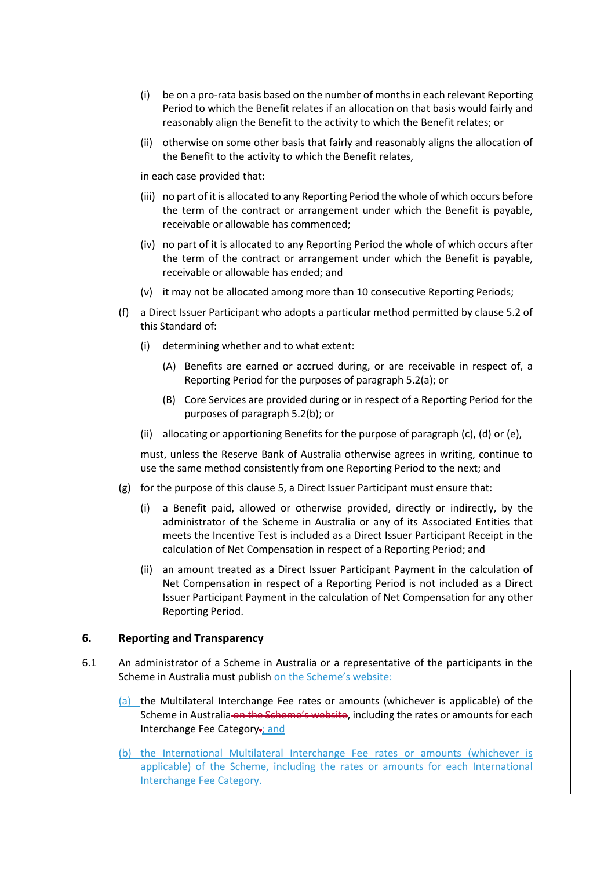- (i) be on a pro-rata basis based on the number of months in each relevant Reporting Period to which the Benefit relates if an allocation on that basis would fairly and reasonably align the Benefit to the activity to which the Benefit relates; or
- (ii) otherwise on some other basis that fairly and reasonably aligns the allocation of the Benefit to the activity to which the Benefit relates,

in each case provided that:

- (iii) no part of it is allocated to any Reporting Period the whole of which occurs before the term of the contract or arrangement under which the Benefit is payable, receivable or allowable has commenced;
- (iv) no part of it is allocated to any Reporting Period the whole of which occurs after the term of the contract or arrangement under which the Benefit is payable, receivable or allowable has ended; and
- (v) it may not be allocated among more than 10 consecutive Reporting Periods;
- (f) a Direct Issuer Participant who adopts a particular method permitted by clause 5.2 of this Standard of:
	- (i) determining whether and to what extent:
		- (A) Benefits are earned or accrued during, or are receivable in respect of, a Reporting Period for the purposes of paragraph 5.2(a); or
		- (B) Core Services are provided during or in respect of a Reporting Period for the purposes of paragraph 5.2(b); or
	- (ii) allocating or apportioning Benefits for the purpose of paragraph (c), (d) or (e),

must, unless the Reserve Bank of Australia otherwise agrees in writing, continue to use the same method consistently from one Reporting Period to the next; and

- (g) for the purpose of this clause 5, a Direct Issuer Participant must ensure that:
	- (i) a Benefit paid, allowed or otherwise provided, directly or indirectly, by the administrator of the Scheme in Australia or any of its Associated Entities that meets the Incentive Test is included as a Direct Issuer Participant Receipt in the calculation of Net Compensation in respect of a Reporting Period; and
	- (ii) an amount treated as a Direct Issuer Participant Payment in the calculation of Net Compensation in respect of a Reporting Period is not included as a Direct Issuer Participant Payment in the calculation of Net Compensation for any other Reporting Period.

### **6. Reporting and Transparency**

- 6.1 An administrator of a Scheme in Australia or a representative of the participants in the Scheme in Australia must publish on the Scheme's website:
	- (a) the Multilateral Interchange Fee rates or amounts (whichever is applicable) of the Scheme in Australia on the Scheme's website, including the rates or amounts for each Interchange Fee Category.; and
	- (b) the International Multilateral Interchange Fee rates or amounts (whichever is applicable) of the Scheme, including the rates or amounts for each International Interchange Fee Category.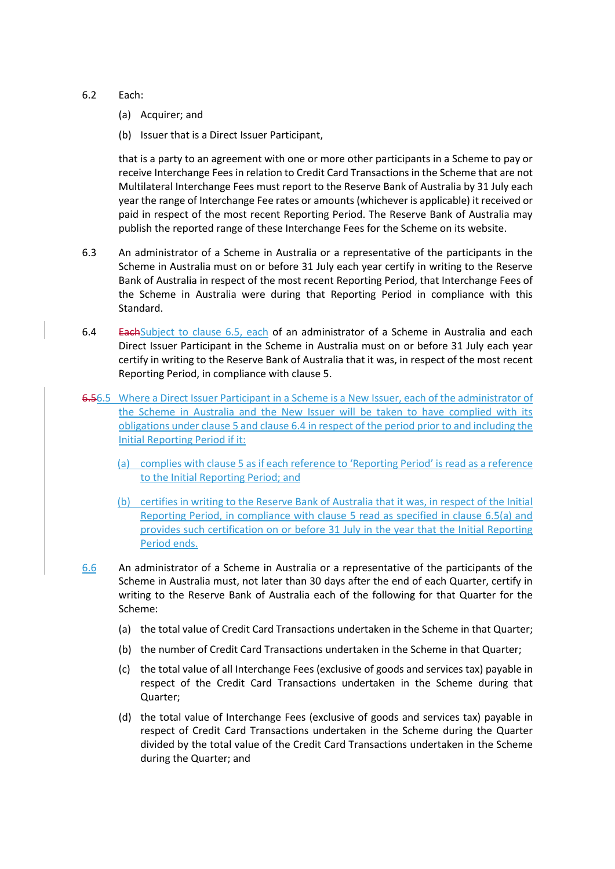#### 6.2 Each:

- (a) Acquirer; and
- (b) Issuer that is a Direct Issuer Participant,

that is a party to an agreement with one or more other participants in a Scheme to pay or receive Interchange Fees in relation to Credit Card Transactions in the Scheme that are not Multilateral Interchange Fees must report to the Reserve Bank of Australia by 31 July each year the range of Interchange Fee rates or amounts (whichever is applicable) it received or paid in respect of the most recent Reporting Period. The Reserve Bank of Australia may publish the reported range of these Interchange Fees for the Scheme on its website.

- 6.3 An administrator of a Scheme in Australia or a representative of the participants in the Scheme in Australia must on or before 31 July each year certify in writing to the Reserve Bank of Australia in respect of the most recent Reporting Period, that Interchange Fees of the Scheme in Australia were during that Reporting Period in compliance with this Standard.
- 6.4 EachSubject to clause 6.5, each of an administrator of a Scheme in Australia and each Direct Issuer Participant in the Scheme in Australia must on or before 31 July each year certify in writing to the Reserve Bank of Australia that it was, in respect of the most recent Reporting Period, in compliance with clause 5.
- 6.56.5 Where a Direct Issuer Participant in a Scheme is a New Issuer, each of the administrator of the Scheme in Australia and the New Issuer will be taken to have complied with its obligations under clause 5 and clause 6.4 in respect of the period prior to and including the Initial Reporting Period if it:
	- (a) complies with clause 5 as if each reference to 'Reporting Period' is read as a reference to the Initial Reporting Period; and
	- (b) certifies in writing to the Reserve Bank of Australia that it was, in respect of the Initial Reporting Period, in compliance with clause 5 read as specified in clause 6.5(a) and provides such certification on or before 31 July in the year that the Initial Reporting Period ends.
- 6.6 An administrator of a Scheme in Australia or a representative of the participants of the Scheme in Australia must, not later than 30 days after the end of each Quarter, certify in writing to the Reserve Bank of Australia each of the following for that Quarter for the Scheme:
	- (a) the total value of Credit Card Transactions undertaken in the Scheme in that Quarter;
	- (b) the number of Credit Card Transactions undertaken in the Scheme in that Quarter;
	- (c) the total value of all Interchange Fees (exclusive of goods and services tax) payable in respect of the Credit Card Transactions undertaken in the Scheme during that Quarter;
	- (d) the total value of Interchange Fees (exclusive of goods and services tax) payable in respect of Credit Card Transactions undertaken in the Scheme during the Quarter divided by the total value of the Credit Card Transactions undertaken in the Scheme during the Quarter; and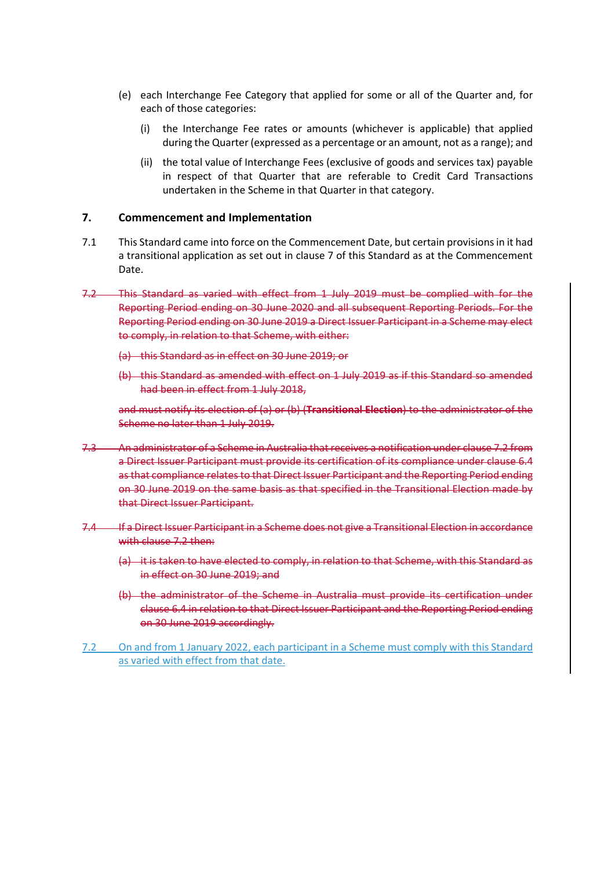- (e) each Interchange Fee Category that applied for some or all of the Quarter and, for each of those categories:
	- (i) the Interchange Fee rates or amounts (whichever is applicable) that applied during the Quarter (expressed as a percentage or an amount, not as a range); and
	- (ii) the total value of Interchange Fees (exclusive of goods and services tax) payable in respect of that Quarter that are referable to Credit Card Transactions undertaken in the Scheme in that Quarter in that category.

### <span id="page-10-0"></span>**7. Commencement and Implementation**

- <span id="page-10-1"></span>7.1 This Standard came into force on the Commencement Date, but certain provisions in it had a transitional application as set out in clause 7 of this Standard as at the Commencement Date.
- 7.2 This Standard as varied with effect from 1 July 2019 must be complied with for the Reporting Period ending on 30 June 2020 and all subsequent Reporting Periods. For the Reporting Period ending on 30 June 2019 a Direct Issuer Participant in a Scheme may elect to comply, in relation to that Scheme, with either:
	- (a) this Standard as in effect on 30 June 2019; or
	- (b) this Standard as amended with effect on 1 July 2019 as if this Standard so amended had been in effect from 1 July 2018,

and must notify its election of (a) or (b) (**Transitional Election**) to the administrator of the Scheme no later than 1 July 2019.

- 7.3 An administrator of a Scheme in Australia that receives a notification under clause 7.2 from a Direct Issuer Participant must provide its certification of its compliance under clause 6.4 as that compliance relates to that Direct Issuer Participant and the Reporting Period ending on 30 June 2019 on the same basis as that specified in the Transitional Election made by that Direct Issuer Participant.
- 7.4 If a Direct Issuer Participant in a Scheme does not give a Transitional Election in accordance with clause 7.2 then:
	- (a) it is taken to have elected to comply, in relation to that Scheme, with this Standard as in effect on 30 June 2019; and
	- (b) the administrator of the Scheme in Australia must provide its certification under clause 6.4 in relation to that Direct Issuer Participant and the Reporting Period ending on 30 June 2019 accordingly.
- 7.2 On and from 1 January 2022, each participant in a Scheme must comply with this Standard as varied with effect from that date.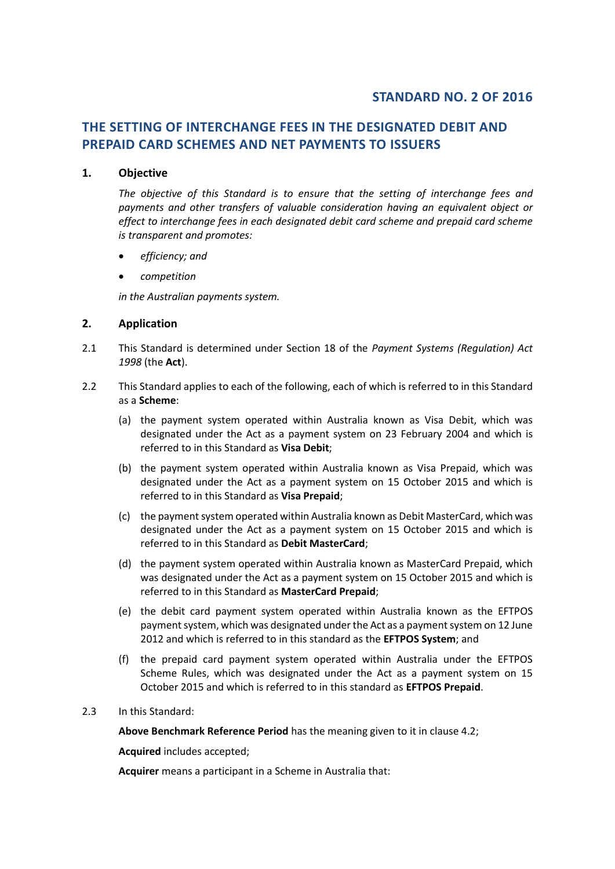# **STANDARD NO. 2 OF 2016**

# **THE SETTING OF INTERCHANGE FEES IN THE DESIGNATED DEBIT AND PREPAID CARD SCHEMES AND NET PAYMENTS TO ISSUERS**

#### **1. Objective**

*The objective of this Standard is to ensure that the setting of interchange fees and payments and other transfers of valuable consideration having an equivalent object or effect to interchange fees in each designated debit card scheme and prepaid card scheme is transparent and promotes:*

- *efficiency; and*
- *competition*

*in the Australian payments system.* 

#### **2. Application**

- 2.1 This Standard is determined under Section 18 of the *Payment Systems (Regulation) Act 1998* (the **Act**).
- 2.2 This Standard applies to each of the following, each of which is referred to in this Standard as a **Scheme**:
	- (a) the payment system operated within Australia known as Visa Debit, which was designated under the Act as a payment system on 23 February 2004 and which is referred to in this Standard as **Visa Debit**;
	- (b) the payment system operated within Australia known as Visa Prepaid, which was designated under the Act as a payment system on 15 October 2015 and which is referred to in this Standard as **Visa Prepaid**;
	- (c) the payment system operated within Australia known as Debit MasterCard, which was designated under the Act as a payment system on 15 October 2015 and which is referred to in this Standard as **Debit MasterCard**;
	- (d) the payment system operated within Australia known as MasterCard Prepaid, which was designated under the Act as a payment system on 15 October 2015 and which is referred to in this Standard as **MasterCard Prepaid**;
	- (e) the debit card payment system operated within Australia known as the EFTPOS payment system, which was designated under the Act as a payment system on 12 June 2012 and which is referred to in this standard as the **EFTPOS System**; and
	- (f) the prepaid card payment system operated within Australia under the EFTPOS Scheme Rules, which was designated under the Act as a payment system on 15 October 2015 and which is referred to in this standard as **EFTPOS Prepaid**.
- 2.3 In this Standard:

**Above Benchmark Reference Period** has the meaning given to it in clause 4.2;

**Acquired** includes accepted;

**Acquirer** means a participant in a Scheme in Australia that: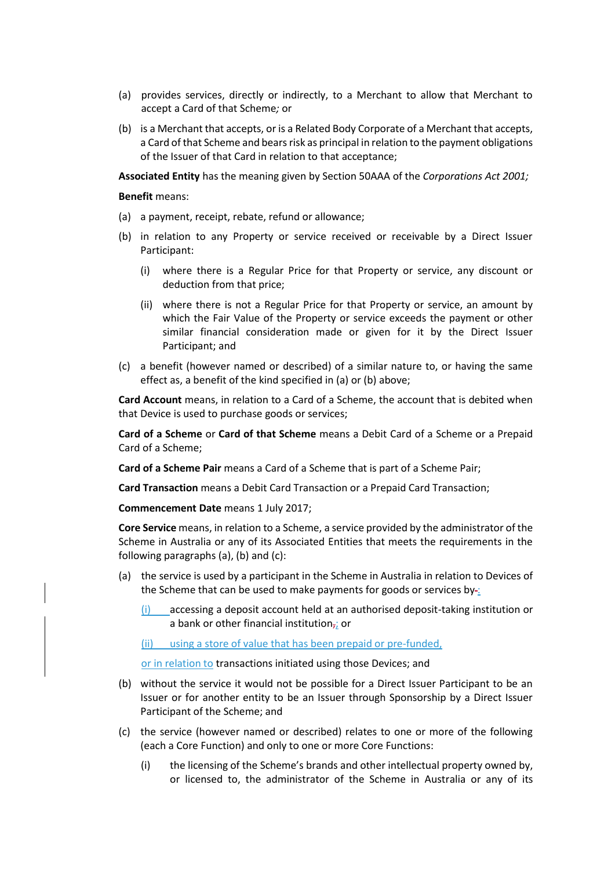- (a) provides services, directly or indirectly, to a Merchant to allow that Merchant to accept a Card of that Scheme*;* or
- (b) is a Merchant that accepts, or is a Related Body Corporate of a Merchant that accepts, a Card of that Scheme and bears risk as principal in relation to the payment obligations of the Issuer of that Card in relation to that acceptance;

**Associated Entity** has the meaning given by Section 50AAA of the *Corporations Act 2001;*

**Benefit** means:

- (a) a payment, receipt, rebate, refund or allowance;
- (b) in relation to any Property or service received or receivable by a Direct Issuer Participant:
	- (i) where there is a Regular Price for that Property or service, any discount or deduction from that price;
	- (ii) where there is not a Regular Price for that Property or service, an amount by which the Fair Value of the Property or service exceeds the payment or other similar financial consideration made or given for it by the Direct Issuer Participant; and
- (c) a benefit (however named or described) of a similar nature to, or having the same effect as, a benefit of the kind specified in (a) or (b) above;

**Card Account** means, in relation to a Card of a Scheme, the account that is debited when that Device is used to purchase goods or services;

**Card of a Scheme** or **Card of that Scheme** means a Debit Card of a Scheme or a Prepaid Card of a Scheme;

**Card of a Scheme Pair** means a Card of a Scheme that is part of a Scheme Pair;

**Card Transaction** means a Debit Card Transaction or a Prepaid Card Transaction;

**Commencement Date** means 1 July 2017;

**Core Service** means, in relation to a Scheme, a service provided by the administrator of the Scheme in Australia or any of its Associated Entities that meets the requirements in the following paragraphs (a), (b) and (c):

- (a) the service is used by a participant in the Scheme in Australia in relation to Devices of the Scheme that can be used to make payments for goods or services by-:
	- (i) accessing a deposit account held at an authorised deposit-taking institution or a bank or other financial institution $\vec{r}$  or
	- (ii) using a store of value that has been prepaid or pre-funded,

or in relation to transactions initiated using those Devices; and

- (b) without the service it would not be possible for a Direct Issuer Participant to be an Issuer or for another entity to be an Issuer through Sponsorship by a Direct Issuer Participant of the Scheme; and
- (c) the service (however named or described) relates to one or more of the following (each a Core Function) and only to one or more Core Functions:
	- (i) the licensing of the Scheme's brands and other intellectual property owned by, or licensed to, the administrator of the Scheme in Australia or any of its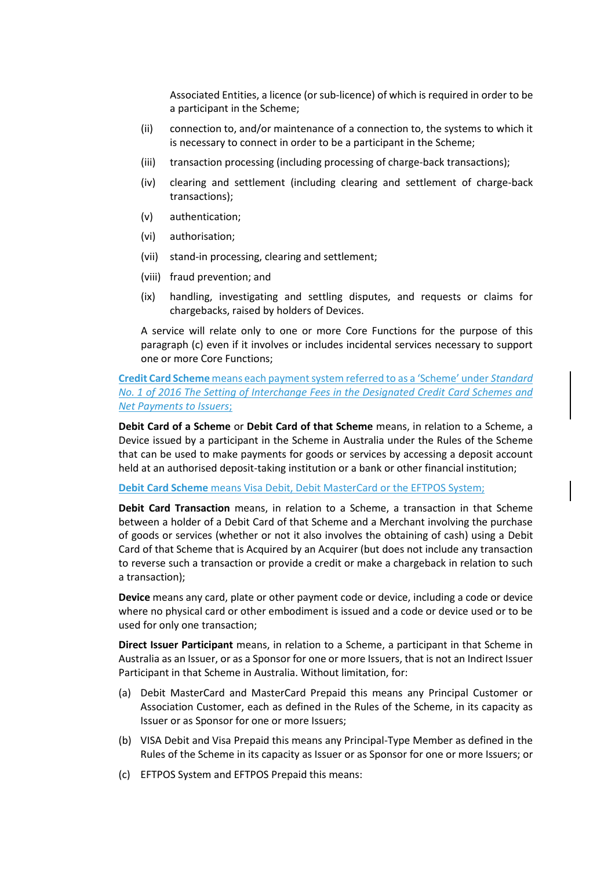Associated Entities, a licence (or sub-licence) of which is required in order to be a participant in the Scheme;

- (ii) connection to, and/or maintenance of a connection to, the systems to which it is necessary to connect in order to be a participant in the Scheme;
- (iii) transaction processing (including processing of charge-back transactions);
- (iv) clearing and settlement (including clearing and settlement of charge-back transactions);
- (v) authentication;
- (vi) authorisation;
- (vii) stand-in processing, clearing and settlement;
- (viii) fraud prevention; and
- (ix) handling, investigating and settling disputes, and requests or claims for chargebacks, raised by holders of Devices.

A service will relate only to one or more Core Functions for the purpose of this paragraph (c) even if it involves or includes incidental services necessary to support one or more Core Functions;

**Credit Card Scheme** means each payment system referred to as a 'Scheme' under *Standard No. 1 of 2016 The Setting of Interchange Fees in the Designated Credit Card Schemes and Net Payments to Issuers*;

**Debit Card of a Scheme** or **Debit Card of that Scheme** means, in relation to a Scheme, a Device issued by a participant in the Scheme in Australia under the Rules of the Scheme that can be used to make payments for goods or services by accessing a deposit account held at an authorised deposit-taking institution or a bank or other financial institution;

#### **Debit Card Scheme** means Visa Debit, Debit MasterCard or the EFTPOS System;

**Debit Card Transaction** means, in relation to a Scheme, a transaction in that Scheme between a holder of a Debit Card of that Scheme and a Merchant involving the purchase of goods or services (whether or not it also involves the obtaining of cash) using a Debit Card of that Scheme that is Acquired by an Acquirer (but does not include any transaction to reverse such a transaction or provide a credit or make a chargeback in relation to such a transaction);

**Device** means any card, plate or other payment code or device, including a code or device where no physical card or other embodiment is issued and a code or device used or to be used for only one transaction;

**Direct Issuer Participant** means, in relation to a Scheme, a participant in that Scheme in Australia as an Issuer, or as a Sponsor for one or more Issuers, that is not an Indirect Issuer Participant in that Scheme in Australia. Without limitation, for:

- (a) Debit MasterCard and MasterCard Prepaid this means any Principal Customer or Association Customer, each as defined in the Rules of the Scheme, in its capacity as Issuer or as Sponsor for one or more Issuers;
- (b) VISA Debit and Visa Prepaid this means any Principal-Type Member as defined in the Rules of the Scheme in its capacity as Issuer or as Sponsor for one or more Issuers; or
- (c) EFTPOS System and EFTPOS Prepaid this means: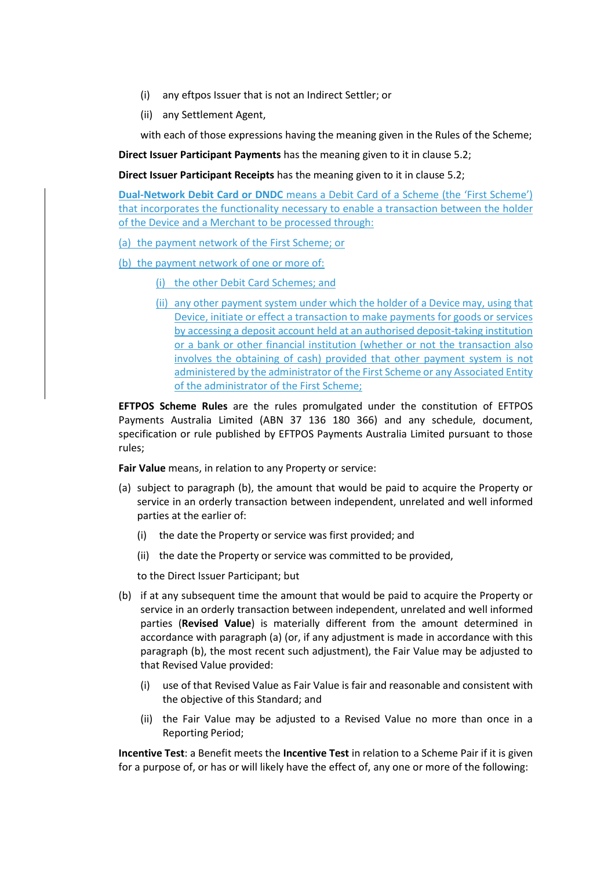- (i) any eftpos Issuer that is not an Indirect Settler; or
- (ii) any Settlement Agent,

with each of those expressions having the meaning given in the Rules of the Scheme;

**Direct Issuer Participant Payments** has the meaning given to it in clause 5.2;

**Direct Issuer Participant Receipts** has the meaning given to it in clause 5.2;

**Dual-Network Debit Card or DNDC** means a Debit Card of a Scheme (the 'First Scheme') that incorporates the functionality necessary to enable a transaction between the holder of the Device and a Merchant to be processed through:

(a) the payment network of the First Scheme; or

(b) the payment network of one or more of:

(i) the other Debit Card Schemes; and

(ii) any other payment system under which the holder of a Device may, using that Device, initiate or effect a transaction to make payments for goods or services by accessing a deposit account held at an authorised deposit-taking institution or a bank or other financial institution (whether or not the transaction also involves the obtaining of cash) provided that other payment system is not administered by the administrator of the First Scheme or any Associated Entity of the administrator of the First Scheme;

**EFTPOS Scheme Rules** are the rules promulgated under the constitution of EFTPOS Payments Australia Limited (ABN 37 136 180 366) and any schedule, document, specification or rule published by EFTPOS Payments Australia Limited pursuant to those rules;

**Fair Value** means, in relation to any Property or service:

- (a) subject to paragraph (b), the amount that would be paid to acquire the Property or service in an orderly transaction between independent, unrelated and well informed parties at the earlier of:
	- (i) the date the Property or service was first provided; and
	- (ii) the date the Property or service was committed to be provided,

to the Direct Issuer Participant; but

- (b) if at any subsequent time the amount that would be paid to acquire the Property or service in an orderly transaction between independent, unrelated and well informed parties (**Revised Value**) is materially different from the amount determined in accordance with paragraph (a) (or, if any adjustment is made in accordance with this paragraph (b), the most recent such adjustment), the Fair Value may be adjusted to that Revised Value provided:
	- (i) use of that Revised Value as Fair Value is fair and reasonable and consistent with the objective of this Standard; and
	- (ii) the Fair Value may be adjusted to a Revised Value no more than once in a Reporting Period;

**Incentive Test**: a Benefit meets the **Incentive Test** in relation to a Scheme Pair if it is given for a purpose of, or has or will likely have the effect of, any one or more of the following: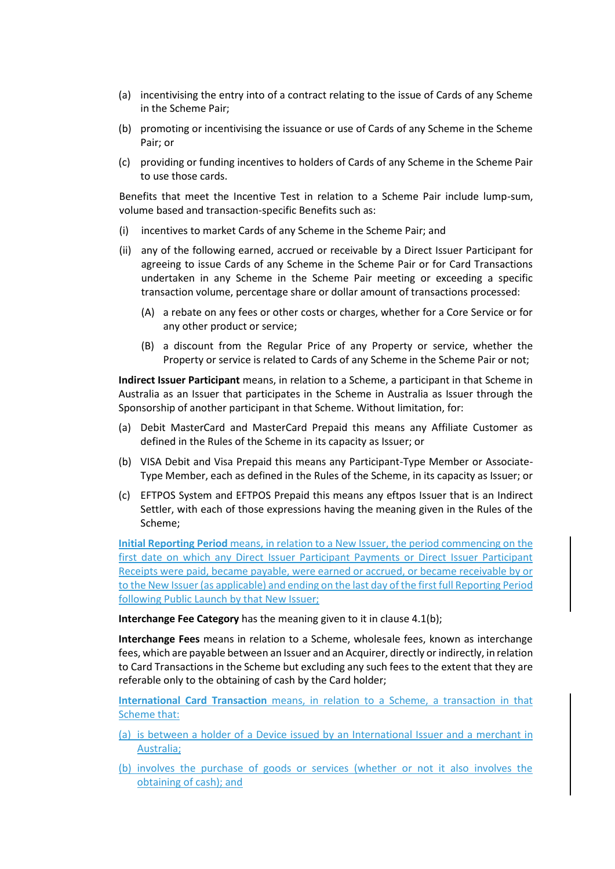- (a) incentivising the entry into of a contract relating to the issue of Cards of any Scheme in the Scheme Pair;
- (b) promoting or incentivising the issuance or use of Cards of any Scheme in the Scheme Pair; or
- (c) providing or funding incentives to holders of Cards of any Scheme in the Scheme Pair to use those cards.

Benefits that meet the Incentive Test in relation to a Scheme Pair include lump-sum, volume based and transaction-specific Benefits such as:

- (i) incentives to market Cards of any Scheme in the Scheme Pair; and
- (ii) any of the following earned, accrued or receivable by a Direct Issuer Participant for agreeing to issue Cards of any Scheme in the Scheme Pair or for Card Transactions undertaken in any Scheme in the Scheme Pair meeting or exceeding a specific transaction volume, percentage share or dollar amount of transactions processed:
	- (A) a rebate on any fees or other costs or charges, whether for a Core Service or for any other product or service;
	- (B) a discount from the Regular Price of any Property or service, whether the Property or service is related to Cards of any Scheme in the Scheme Pair or not;

**Indirect Issuer Participant** means, in relation to a Scheme, a participant in that Scheme in Australia as an Issuer that participates in the Scheme in Australia as Issuer through the Sponsorship of another participant in that Scheme. Without limitation, for:

- (a) Debit MasterCard and MasterCard Prepaid this means any Affiliate Customer as defined in the Rules of the Scheme in its capacity as Issuer; or
- (b) VISA Debit and Visa Prepaid this means any Participant-Type Member or Associate-Type Member, each as defined in the Rules of the Scheme, in its capacity as Issuer; or
- (c) EFTPOS System and EFTPOS Prepaid this means any eftpos Issuer that is an Indirect Settler, with each of those expressions having the meaning given in the Rules of the Scheme;

**Initial Reporting Period** means, in relation to a New Issuer, the period commencing on the first date on which any Direct Issuer Participant Payments or Direct Issuer Participant Receipts were paid, became payable, were earned or accrued, or became receivable by or to the New Issuer (as applicable) and ending on the last day of the first full Reporting Period following Public Launch by that New Issuer;

**Interchange Fee Category** has the meaning given to it in clause 4.1(b);

**Interchange Fees** means in relation to a Scheme, wholesale fees, known as interchange fees, which are payable between an Issuer and an Acquirer, directly or indirectly, in relation to Card Transactions in the Scheme but excluding any such fees to the extent that they are referable only to the obtaining of cash by the Card holder;

**International Card Transaction** means, in relation to a Scheme, a transaction in that Scheme that:

- (a) is between a holder of a Device issued by an International Issuer and a merchant in Australia;
- (b) involves the purchase of goods or services (whether or not it also involves the obtaining of cash); and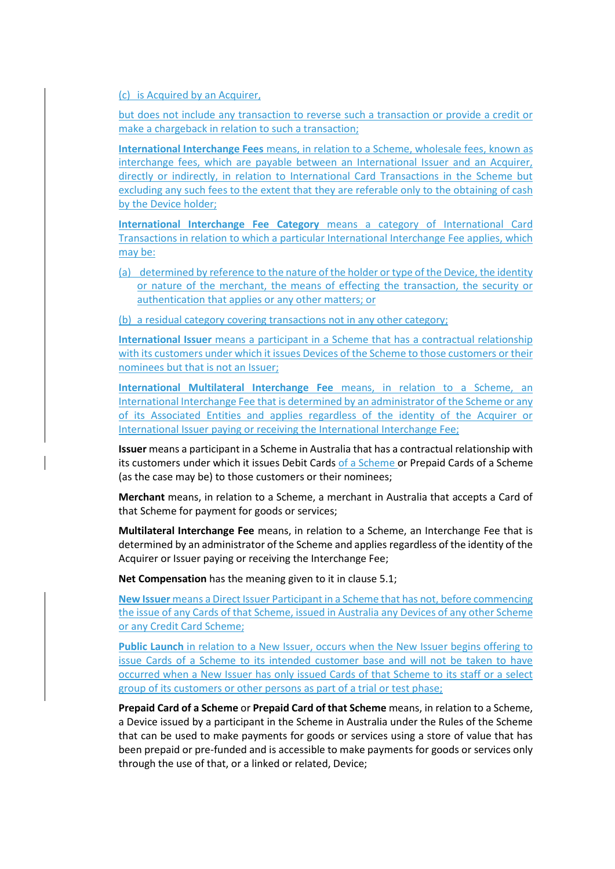(c) is Acquired by an Acquirer,

but does not include any transaction to reverse such a transaction or provide a credit or make a chargeback in relation to such a transaction;

**International Interchange Fees** means, in relation to a Scheme, wholesale fees, known as interchange fees, which are payable between an International Issuer and an Acquirer, directly or indirectly, in relation to International Card Transactions in the Scheme but excluding any such fees to the extent that they are referable only to the obtaining of cash by the Device holder;

**International Interchange Fee Category** means a category of International Card Transactions in relation to which a particular International Interchange Fee applies, which may be:

(a) determined by reference to the nature of the holder or type of the Device, the identity or nature of the merchant, the means of effecting the transaction, the security or authentication that applies or any other matters; or

(b) a residual category covering transactions not in any other category;

**International Issuer** means a participant in a Scheme that has a contractual relationship with its customers under which it issues Devices of the Scheme to those customers or their nominees but that is not an Issuer;

**International Multilateral Interchange Fee** means, in relation to a Scheme, an International Interchange Fee that is determined by an administrator of the Scheme or any of its Associated Entities and applies regardless of the identity of the Acquirer or International Issuer paying or receiving the International Interchange Fee;

**Issuer** means a participant in a Scheme in Australia that has a contractual relationship with its customers under which it issues Debit Cards of a Scheme or Prepaid Cards of a Scheme (as the case may be) to those customers or their nominees;

**Merchant** means, in relation to a Scheme, a merchant in Australia that accepts a Card of that Scheme for payment for goods or services;

**Multilateral Interchange Fee** means, in relation to a Scheme, an Interchange Fee that is determined by an administrator of the Scheme and applies regardless of the identity of the Acquirer or Issuer paying or receiving the Interchange Fee;

**Net Compensation** has the meaning given to it in clause 5.1;

**New Issuer** means a Direct Issuer Participant in a Scheme that has not, before commencing the issue of any Cards of that Scheme, issued in Australia any Devices of any other Scheme or any Credit Card Scheme;

**Public Launch** in relation to a New Issuer, occurs when the New Issuer begins offering to issue Cards of a Scheme to its intended customer base and will not be taken to have occurred when a New Issuer has only issued Cards of that Scheme to its staff or a select group of its customers or other persons as part of a trial or test phase;

**Prepaid Card of a Scheme** or **Prepaid Card of that Scheme** means, in relation to a Scheme, a Device issued by a participant in the Scheme in Australia under the Rules of the Scheme that can be used to make payments for goods or services using a store of value that has been prepaid or pre-funded and is accessible to make payments for goods or services only through the use of that, or a linked or related, Device;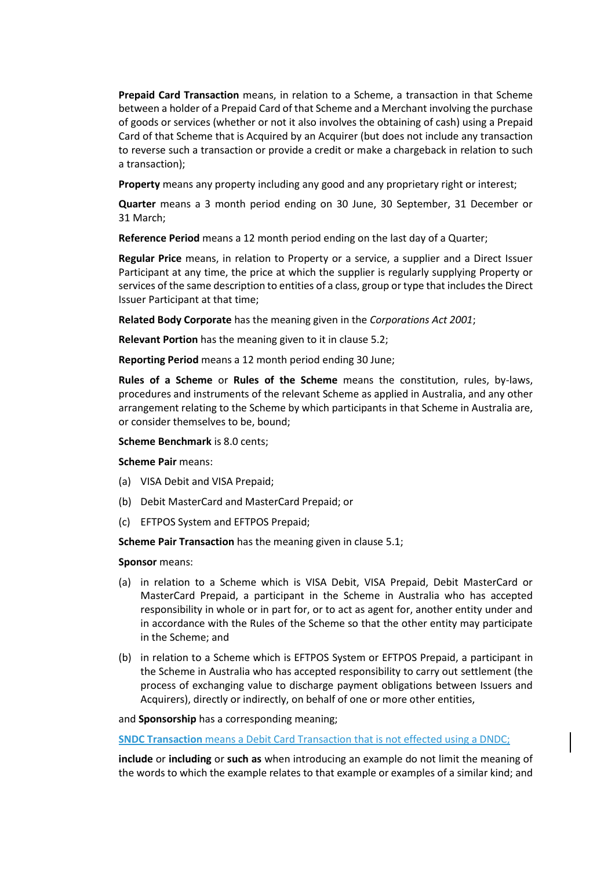**Prepaid Card Transaction** means, in relation to a Scheme, a transaction in that Scheme between a holder of a Prepaid Card of that Scheme and a Merchant involving the purchase of goods or services (whether or not it also involves the obtaining of cash) using a Prepaid Card of that Scheme that is Acquired by an Acquirer (but does not include any transaction to reverse such a transaction or provide a credit or make a chargeback in relation to such a transaction);

**Property** means any property including any good and any proprietary right or interest;

**Quarter** means a 3 month period ending on 30 June, 30 September, 31 December or 31 March;

**Reference Period** means a 12 month period ending on the last day of a Quarter;

**Regular Price** means, in relation to Property or a service, a supplier and a Direct Issuer Participant at any time, the price at which the supplier is regularly supplying Property or services of the same description to entities of a class, group or type that includes the Direct Issuer Participant at that time;

**Related Body Corporate** has the meaning given in the *Corporations Act 2001*;

**Relevant Portion** has the meaning given to it in clause 5.2;

**Reporting Period** means a 12 month period ending 30 June;

**Rules of a Scheme** or **Rules of the Scheme** means the constitution, rules, by-laws, procedures and instruments of the relevant Scheme as applied in Australia, and any other arrangement relating to the Scheme by which participants in that Scheme in Australia are, or consider themselves to be, bound;

**Scheme Benchmark** is 8.0 cents;

**Scheme Pair** means:

- (a) VISA Debit and VISA Prepaid;
- (b) Debit MasterCard and MasterCard Prepaid; or
- (c) EFTPOS System and EFTPOS Prepaid;

**Scheme Pair Transaction** has the meaning given in clause 5.1;

#### **Sponsor** means:

- (a) in relation to a Scheme which is VISA Debit, VISA Prepaid, Debit MasterCard or MasterCard Prepaid, a participant in the Scheme in Australia who has accepted responsibility in whole or in part for, or to act as agent for, another entity under and in accordance with the Rules of the Scheme so that the other entity may participate in the Scheme; and
- (b) in relation to a Scheme which is EFTPOS System or EFTPOS Prepaid, a participant in the Scheme in Australia who has accepted responsibility to carry out settlement (the process of exchanging value to discharge payment obligations between Issuers and Acquirers), directly or indirectly, on behalf of one or more other entities,

and **Sponsorship** has a corresponding meaning;

**SNDC Transaction** means a Debit Card Transaction that is not effected using a DNDC;

**include** or **including** or **such as** when introducing an example do not limit the meaning of the words to which the example relates to that example or examples of a similar kind; and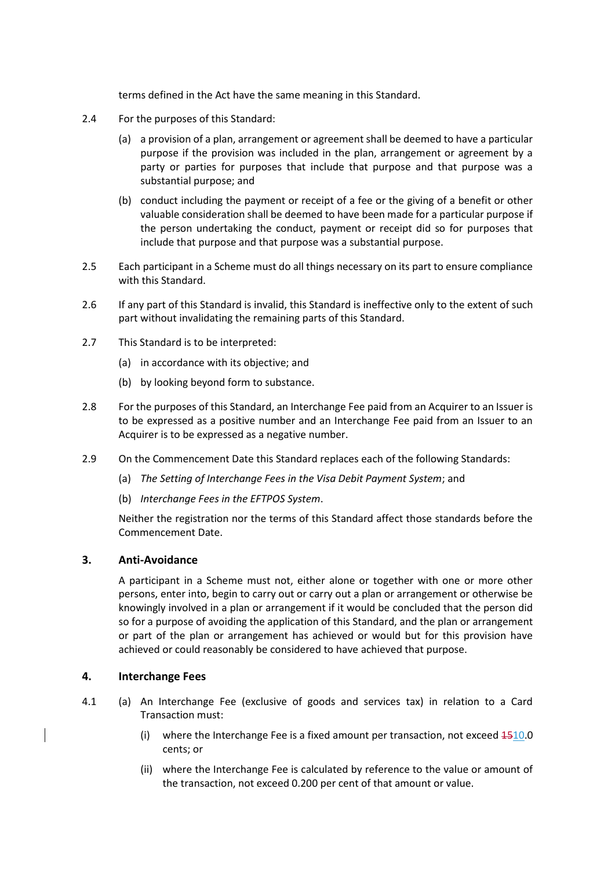terms defined in the Act have the same meaning in this Standard.

- 2.4 For the purposes of this Standard:
	- (a) a provision of a plan, arrangement or agreement shall be deemed to have a particular purpose if the provision was included in the plan, arrangement or agreement by a party or parties for purposes that include that purpose and that purpose was a substantial purpose; and
	- (b) conduct including the payment or receipt of a fee or the giving of a benefit or other valuable consideration shall be deemed to have been made for a particular purpose if the person undertaking the conduct, payment or receipt did so for purposes that include that purpose and that purpose was a substantial purpose.
- 2.5 Each participant in a Scheme must do all things necessary on its part to ensure compliance with this Standard.
- 2.6 If any part of this Standard is invalid, this Standard is ineffective only to the extent of such part without invalidating the remaining parts of this Standard.
- 2.7 This Standard is to be interpreted:
	- (a) in accordance with its objective; and
	- (b) by looking beyond form to substance.
- 2.8 For the purposes of this Standard, an Interchange Fee paid from an Acquirer to an Issuer is to be expressed as a positive number and an Interchange Fee paid from an Issuer to an Acquirer is to be expressed as a negative number.
- 2.9 On the Commencement Date this Standard replaces each of the following Standards:
	- (a) *The Setting of Interchange Fees in the Visa Debit Payment System*; and
	- (b) *Interchange Fees in the EFTPOS System*.

Neither the registration nor the terms of this Standard affect those standards before the Commencement Date.

### **3. Anti-Avoidance**

A participant in a Scheme must not, either alone or together with one or more other persons, enter into, begin to carry out or carry out a plan or arrangement or otherwise be knowingly involved in a plan or arrangement if it would be concluded that the person did so for a purpose of avoiding the application of this Standard, and the plan or arrangement or part of the plan or arrangement has achieved or would but for this provision have achieved or could reasonably be considered to have achieved that purpose.

### **4. Interchange Fees**

- 4.1 (a) An Interchange Fee (exclusive of goods and services tax) in relation to a Card Transaction must:
	- (i) where the Interchange Fee is a fixed amount per transaction, not exceed 1510.0 cents; or
	- (ii) where the Interchange Fee is calculated by reference to the value or amount of the transaction, not exceed 0.200 per cent of that amount or value.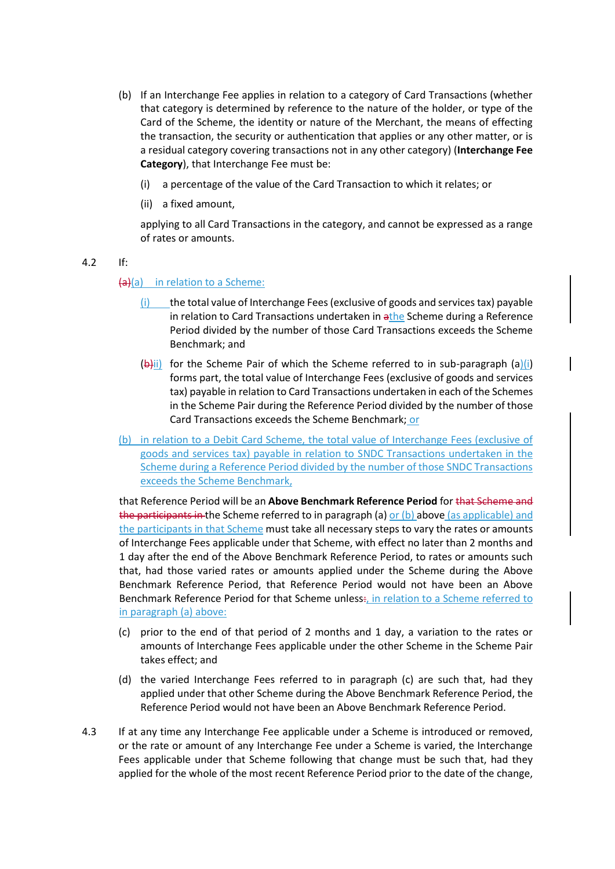- (b) If an Interchange Fee applies in relation to a category of Card Transactions (whether that category is determined by reference to the nature of the holder, or type of the Card of the Scheme, the identity or nature of the Merchant, the means of effecting the transaction, the security or authentication that applies or any other matter, or is a residual category covering transactions not in any other category) (**Interchange Fee Category**), that Interchange Fee must be:
	- (i) a percentage of the value of the Card Transaction to which it relates; or
	- (ii) a fixed amount,

applying to all Card Transactions in the category, and cannot be expressed as a range of rates or amounts.

4.2 If:

### $(a)(a)$  in relation to a Scheme:

- (i) the total value of Interchange Fees (exclusive of goods and services tax) payable in relation to Card Transactions undertaken in athe Scheme during a Reference Period divided by the number of those Card Transactions exceeds the Scheme Benchmark; and
- $(b)$ ii) for the Scheme Pair of which the Scheme referred to in sub-paragraph (a)(i) forms part, the total value of Interchange Fees (exclusive of goods and services tax) payable in relation to Card Transactions undertaken in each of the Schemes in the Scheme Pair during the Reference Period divided by the number of those Card Transactions exceeds the Scheme Benchmark; or
- (b) in relation to a Debit Card Scheme, the total value of Interchange Fees (exclusive of goods and services tax) payable in relation to SNDC Transactions undertaken in the Scheme during a Reference Period divided by the number of those SNDC Transactions exceeds the Scheme Benchmark,

that Reference Period will be an **Above Benchmark Reference Period** for that Scheme and the participants in the Scheme referred to in paragraph (a) or (b) above (as applicable) and the participants in that Scheme must take all necessary steps to vary the rates or amounts of Interchange Fees applicable under that Scheme, with effect no later than 2 months and 1 day after the end of the Above Benchmark Reference Period, to rates or amounts such that, had those varied rates or amounts applied under the Scheme during the Above Benchmark Reference Period, that Reference Period would not have been an Above Benchmark Reference Period for that Scheme unless:, in relation to a Scheme referred to in paragraph (a) above:

- (c) prior to the end of that period of 2 months and 1 day, a variation to the rates or amounts of Interchange Fees applicable under the other Scheme in the Scheme Pair takes effect; and
- (d) the varied Interchange Fees referred to in paragraph (c) are such that, had they applied under that other Scheme during the Above Benchmark Reference Period, the Reference Period would not have been an Above Benchmark Reference Period.
- 4.3 If at any time any Interchange Fee applicable under a Scheme is introduced or removed, or the rate or amount of any Interchange Fee under a Scheme is varied, the Interchange Fees applicable under that Scheme following that change must be such that, had they applied for the whole of the most recent Reference Period prior to the date of the change,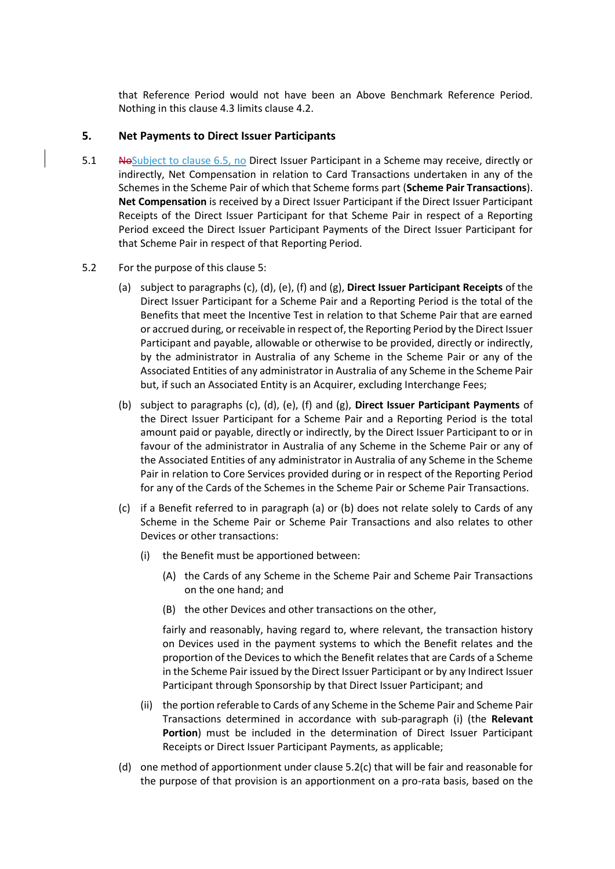that Reference Period would not have been an Above Benchmark Reference Period. Nothing in this clause 4.3 limits clause 4.2.

### **5. Net Payments to Direct Issuer Participants**

- 5.1 No Subject to clause 6.5, no Direct Issuer Participant in a Scheme may receive, directly or indirectly, Net Compensation in relation to Card Transactions undertaken in any of the Schemes in the Scheme Pair of which that Scheme forms part (**Scheme Pair Transactions**). **Net Compensation** is received by a Direct Issuer Participant if the Direct Issuer Participant Receipts of the Direct Issuer Participant for that Scheme Pair in respect of a Reporting Period exceed the Direct Issuer Participant Payments of the Direct Issuer Participant for that Scheme Pair in respect of that Reporting Period.
- 5.2 For the purpose of this clause 5:
	- (a) subject to paragraphs (c), (d), (e), (f) and (g), **Direct Issuer Participant Receipts** of the Direct Issuer Participant for a Scheme Pair and a Reporting Period is the total of the Benefits that meet the Incentive Test in relation to that Scheme Pair that are earned or accrued during, or receivable in respect of, the Reporting Period by the Direct Issuer Participant and payable, allowable or otherwise to be provided, directly or indirectly, by the administrator in Australia of any Scheme in the Scheme Pair or any of the Associated Entities of any administrator in Australia of any Scheme in the Scheme Pair but, if such an Associated Entity is an Acquirer, excluding Interchange Fees;
	- (b) subject to paragraphs (c), (d), (e), (f) and (g), **Direct Issuer Participant Payments** of the Direct Issuer Participant for a Scheme Pair and a Reporting Period is the total amount paid or payable, directly or indirectly, by the Direct Issuer Participant to or in favour of the administrator in Australia of any Scheme in the Scheme Pair or any of the Associated Entities of any administrator in Australia of any Scheme in the Scheme Pair in relation to Core Services provided during or in respect of the Reporting Period for any of the Cards of the Schemes in the Scheme Pair or Scheme Pair Transactions.
	- (c) if a Benefit referred to in paragraph (a) or (b) does not relate solely to Cards of any Scheme in the Scheme Pair or Scheme Pair Transactions and also relates to other Devices or other transactions:
		- (i) the Benefit must be apportioned between:
			- (A) the Cards of any Scheme in the Scheme Pair and Scheme Pair Transactions on the one hand; and
			- (B) the other Devices and other transactions on the other,

fairly and reasonably, having regard to, where relevant, the transaction history on Devices used in the payment systems to which the Benefit relates and the proportion of the Devices to which the Benefit relates that are Cards of a Scheme in the Scheme Pair issued by the Direct Issuer Participant or by any Indirect Issuer Participant through Sponsorship by that Direct Issuer Participant; and

- (ii) the portion referable to Cards of any Scheme in the Scheme Pair and Scheme Pair Transactions determined in accordance with sub-paragraph (i) (the **Relevant Portion**) must be included in the determination of Direct Issuer Participant Receipts or Direct Issuer Participant Payments, as applicable;
- (d) one method of apportionment under clause  $5.2(c)$  that will be fair and reasonable for the purpose of that provision is an apportionment on a pro-rata basis, based on the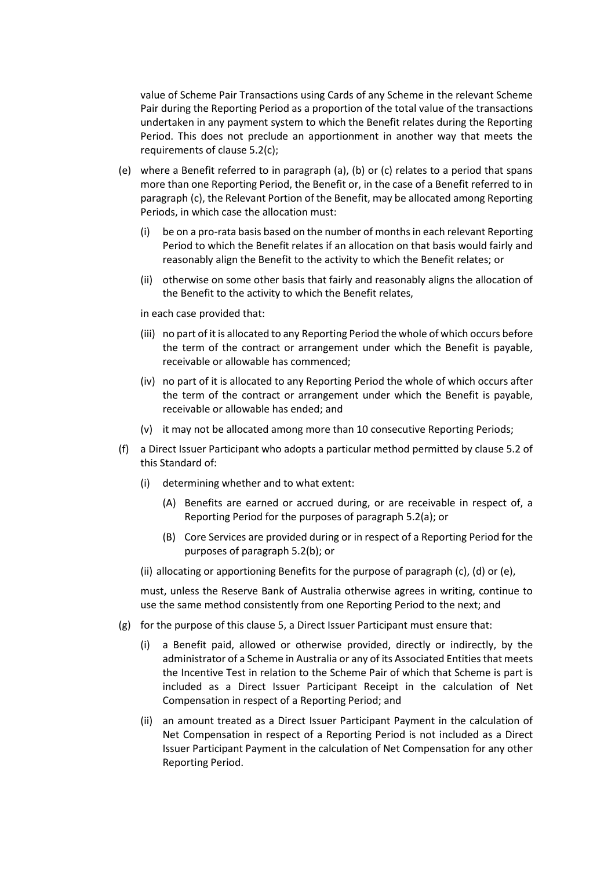value of Scheme Pair Transactions using Cards of any Scheme in the relevant Scheme Pair during the Reporting Period as a proportion of the total value of the transactions undertaken in any payment system to which the Benefit relates during the Reporting Period. This does not preclude an apportionment in another way that meets the requirements of clause 5.2(c);

- (e) where a Benefit referred to in paragraph (a), (b) or (c) relates to a period that spans more than one Reporting Period, the Benefit or, in the case of a Benefit referred to in paragraph (c), the Relevant Portion of the Benefit, may be allocated among Reporting Periods, in which case the allocation must:
	- (i) be on a pro-rata basis based on the number of months in each relevant Reporting Period to which the Benefit relates if an allocation on that basis would fairly and reasonably align the Benefit to the activity to which the Benefit relates; or
	- (ii) otherwise on some other basis that fairly and reasonably aligns the allocation of the Benefit to the activity to which the Benefit relates,

in each case provided that:

- (iii) no part of it is allocated to any Reporting Period the whole of which occurs before the term of the contract or arrangement under which the Benefit is payable, receivable or allowable has commenced;
- (iv) no part of it is allocated to any Reporting Period the whole of which occurs after the term of the contract or arrangement under which the Benefit is payable, receivable or allowable has ended; and
- (v) it may not be allocated among more than 10 consecutive Reporting Periods;
- (f) a Direct Issuer Participant who adopts a particular method permitted by clause 5.2 of this Standard of:
	- (i) determining whether and to what extent:
		- (A) Benefits are earned or accrued during, or are receivable in respect of, a Reporting Period for the purposes of paragraph 5.2(a); or
		- (B) Core Services are provided during or in respect of a Reporting Period for the purposes of paragraph 5.2(b); or
	- (ii) allocating or apportioning Benefits for the purpose of paragraph (c), (d) or (e),

must, unless the Reserve Bank of Australia otherwise agrees in writing, continue to use the same method consistently from one Reporting Period to the next; and

- (g) for the purpose of this clause 5, a Direct Issuer Participant must ensure that:
	- (i) a Benefit paid, allowed or otherwise provided, directly or indirectly, by the administrator of a Scheme in Australia or any of its Associated Entities that meets the Incentive Test in relation to the Scheme Pair of which that Scheme is part is included as a Direct Issuer Participant Receipt in the calculation of Net Compensation in respect of a Reporting Period; and
	- (ii) an amount treated as a Direct Issuer Participant Payment in the calculation of Net Compensation in respect of a Reporting Period is not included as a Direct Issuer Participant Payment in the calculation of Net Compensation for any other Reporting Period.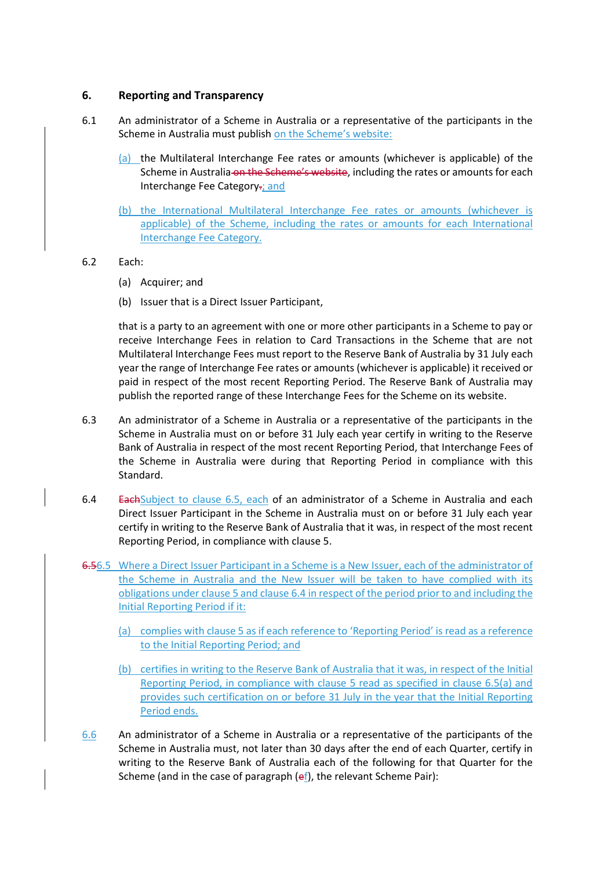## **6. Reporting and Transparency**

- 6.1 An administrator of a Scheme in Australia or a representative of the participants in the Scheme in Australia must publish on the Scheme's website:
	- (a) the Multilateral Interchange Fee rates or amounts (whichever is applicable) of the Scheme in Australia on the Scheme's website, including the rates or amounts for each Interchange Fee Category-; and
	- (b) the International Multilateral Interchange Fee rates or amounts (whichever is applicable) of the Scheme, including the rates or amounts for each International Interchange Fee Category.
- 6.2 Each:
	- (a) Acquirer; and
	- (b) Issuer that is a Direct Issuer Participant,

that is a party to an agreement with one or more other participants in a Scheme to pay or receive Interchange Fees in relation to Card Transactions in the Scheme that are not Multilateral Interchange Fees must report to the Reserve Bank of Australia by 31 July each year the range of Interchange Fee rates or amounts (whichever is applicable) it received or paid in respect of the most recent Reporting Period. The Reserve Bank of Australia may publish the reported range of these Interchange Fees for the Scheme on its website.

- 6.3 An administrator of a Scheme in Australia or a representative of the participants in the Scheme in Australia must on or before 31 July each year certify in writing to the Reserve Bank of Australia in respect of the most recent Reporting Period, that Interchange Fees of the Scheme in Australia were during that Reporting Period in compliance with this Standard.
- 6.4 EachSubject to clause 6.5, each of an administrator of a Scheme in Australia and each Direct Issuer Participant in the Scheme in Australia must on or before 31 July each year certify in writing to the Reserve Bank of Australia that it was, in respect of the most recent Reporting Period, in compliance with clause 5.
- 6.56.5 Where a Direct Issuer Participant in a Scheme is a New Issuer, each of the administrator of the Scheme in Australia and the New Issuer will be taken to have complied with its obligations under clause 5 and clause 6.4 in respect of the period prior to and including the Initial Reporting Period if it:
	- (a) complies with clause 5 as if each reference to 'Reporting Period' is read as a reference to the Initial Reporting Period; and
	- (b) certifies in writing to the Reserve Bank of Australia that it was, in respect of the Initial Reporting Period, in compliance with clause 5 read as specified in clause 6.5(a) and provides such certification on or before 31 July in the year that the Initial Reporting Period ends.
- 6.6 An administrator of a Scheme in Australia or a representative of the participants of the Scheme in Australia must, not later than 30 days after the end of each Quarter, certify in writing to the Reserve Bank of Australia each of the following for that Quarter for the Scheme (and in the case of paragraph  $(e<sub>f</sub>)$ , the relevant Scheme Pair):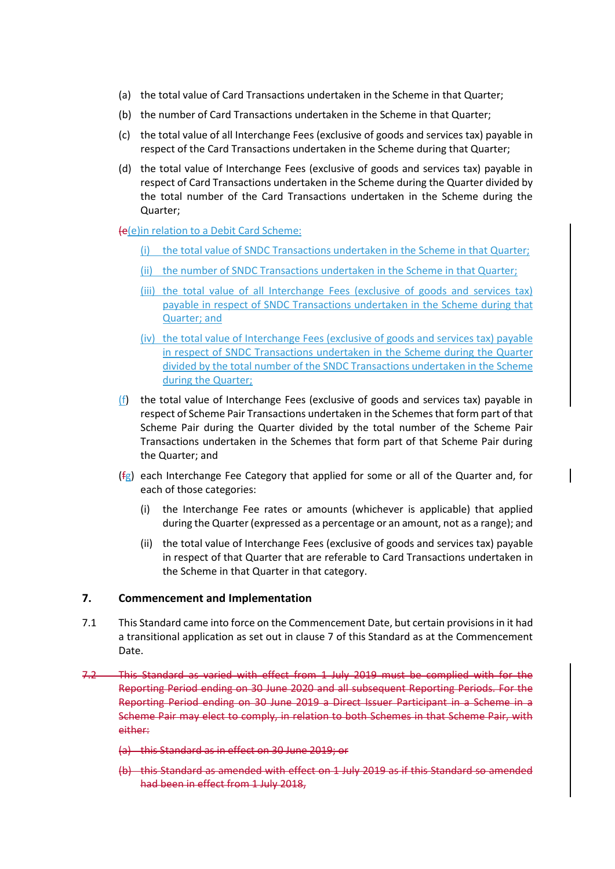- (a) the total value of Card Transactions undertaken in the Scheme in that Quarter;
- (b) the number of Card Transactions undertaken in the Scheme in that Quarter;
- (c) the total value of all Interchange Fees (exclusive of goods and services tax) payable in respect of the Card Transactions undertaken in the Scheme during that Quarter;
- (d) the total value of Interchange Fees (exclusive of goods and services tax) payable in respect of Card Transactions undertaken in the Scheme during the Quarter divided by the total number of the Card Transactions undertaken in the Scheme during the Quarter;

#### (e(e)in relation to a Debit Card Scheme:

- (i) the total value of SNDC Transactions undertaken in the Scheme in that Quarter;
- (ii) the number of SNDC Transactions undertaken in the Scheme in that Quarter;
- (iii) the total value of all Interchange Fees (exclusive of goods and services tax) payable in respect of SNDC Transactions undertaken in the Scheme during that Quarter; and
- (iv) the total value of Interchange Fees (exclusive of goods and services tax) payable in respect of SNDC Transactions undertaken in the Scheme during the Quarter divided by the total number of the SNDC Transactions undertaken in the Scheme during the Quarter;
- (f) the total value of Interchange Fees (exclusive of goods and services tax) payable in respect of Scheme Pair Transactions undertaken in the Schemes that form part of that Scheme Pair during the Quarter divided by the total number of the Scheme Pair Transactions undertaken in the Schemes that form part of that Scheme Pair during the Quarter; and
- $(f<sub>g</sub>)$  each Interchange Fee Category that applied for some or all of the Quarter and, for each of those categories:
	- (i) the Interchange Fee rates or amounts (whichever is applicable) that applied during the Quarter (expressed as a percentage or an amount, not as a range); and
	- (ii) the total value of Interchange Fees (exclusive of goods and services tax) payable in respect of that Quarter that are referable to Card Transactions undertaken in the Scheme in that Quarter in that category.

#### **7. Commencement and Implementation**

- 7.1 This Standard came into force on the Commencement Date, but certain provisions in it had a transitional application as set out in clause 7 of this Standard as at the Commencement Date.
- 7.2 This Standard as varied with effect from 1 July 2019 must be complied with for the Reporting Period ending on 30 June 2020 and all subsequent Reporting Periods. For the Reporting Period ending on 30 June 2019 a Direct Issuer Participant in a Scheme in a Scheme Pair may elect to comply, in relation to both Schemes in that Scheme Pair, with either:
	- (a) this Standard as in effect on 30 June 2019; or
	- (b) this Standard as amended with effect on 1 July 2019 as if this Standard so amended had been in effect from 1 July 2018,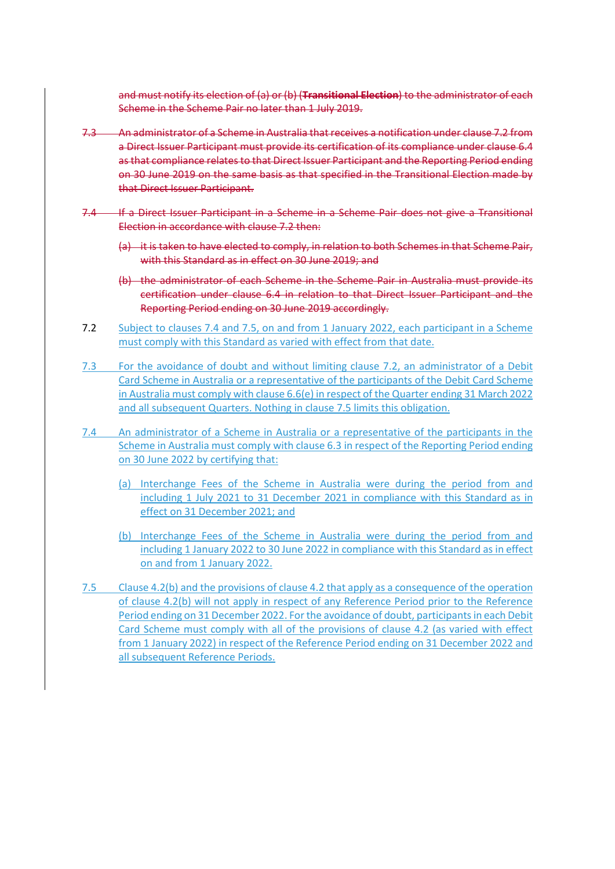and must notify its election of (a) or (b) (**Transitional Election**) to the administrator of each Scheme in the Scheme Pair no later than 1 July 2019.

- 7.3 An administrator of a Scheme in Australia that receives a notification under clause 7.2 from a Direct Issuer Participant must provide its certification of its compliance under clause 6.4 as that compliance relates to that Direct Issuer Participant and the Reporting Period ending on 30 June 2019 on the same basis as that specified in the Transitional Election made by that Direct Issuer Participant.
- 7.4 If a Direct Issuer Participant in a Scheme in a Scheme Pair does not give a Transitional Election in accordance with clause 7.2 then:
	- (a) it is taken to have elected to comply, in relation to both Schemes in that Scheme Pair, with this Standard as in effect on 30 June 2019; and
	- (b) the administrator of each Scheme in the Scheme Pair in Australia must provide its certification under clause 6.4 in relation to that Direct Issuer Participant and the Reporting Period ending on 30 June 2019 accordingly.
- 7.2 Subject to clauses 7.4 and 7.5, on and from 1 January 2022, each participant in a Scheme must comply with this Standard as varied with effect from that date.
- 7.3 For the avoidance of doubt and without limiting clause 7.2, an administrator of a Debit Card Scheme in Australia or a representative of the participants of the Debit Card Scheme in Australia must comply with clause 6.6(e) in respect of the Quarter ending 31 March 2022 and all subsequent Quarters. Nothing in clause 7.5 limits this obligation.
- 7.4 An administrator of a Scheme in Australia or a representative of the participants in the Scheme in Australia must comply with clause 6.3 in respect of the Reporting Period ending on 30 June 2022 by certifying that:
	- (a) Interchange Fees of the Scheme in Australia were during the period from and including 1 July 2021 to 31 December 2021 in compliance with this Standard as in effect on 31 December 2021; and
	- (b) Interchange Fees of the Scheme in Australia were during the period from and including 1 January 2022 to 30 June 2022 in compliance with this Standard as in effect on and from 1 January 2022.
- 7.5 Clause 4.2(b) and the provisions of clause 4.2 that apply as a consequence of the operation of clause 4.2(b) will not apply in respect of any Reference Period prior to the Reference Period ending on 31 December 2022. For the avoidance of doubt, participants in each Debit Card Scheme must comply with all of the provisions of clause 4.2 (as varied with effect from 1 January 2022) in respect of the Reference Period ending on 31 December 2022 and all subsequent Reference Periods.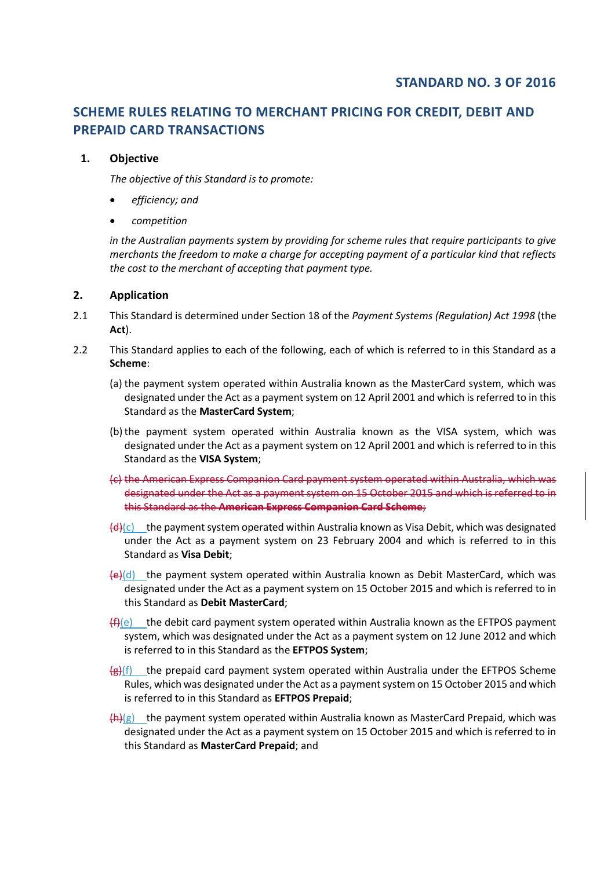# **SCHEME RULES RELATING TO MERCHANT PRICING FOR CREDIT, DEBIT AND PREPAID CARD TRANSACTIONS**

## **1. Objective**

*The objective of this Standard is to promote:*

- *efficiency; and*
- *competition*

*in the Australian payments system by providing for scheme rules that require participants to give merchants the freedom to make a charge for accepting payment of a particular kind that reflects the cost to the merchant of accepting that payment type.* 

## **2. Application**

- 2.1 This Standard is determined under Section 18 of the *Payment Systems (Regulation) Act 1998* (the **Act**).
- 2.2 This Standard applies to each of the following, each of which is referred to in this Standard as a **Scheme**:
	- (a) the payment system operated within Australia known as the MasterCard system, which was designated under the Act as a payment system on 12 April 2001 and which is referred to in this Standard as the **MasterCard System**;
	- (b)the payment system operated within Australia known as the VISA system, which was designated under the Act as a payment system on 12 April 2001 and which is referred to in this Standard as the **VISA System**;
	- (c) the American Express Companion Card payment system operated within Australia, which was designated under the Act as a payment system on 15 October 2015 and which is referred to in this Standard as the **American Express Companion Card Scheme**;
	- $\left(\frac{d}{dx}\right)(c)$  the payment system operated within Australia known as Visa Debit, which was designated under the Act as a payment system on 23 February 2004 and which is referred to in this Standard as **Visa Debit**;
	- $\left(\frac{e}{c}\right)$ (d) the payment system operated within Australia known as Debit MasterCard, which was designated under the Act as a payment system on 15 October 2015 and which is referred to in this Standard as **Debit MasterCard**;
	- $(f)(e)$  the debit card payment system operated within Australia known as the EFTPOS payment system, which was designated under the Act as a payment system on 12 June 2012 and which is referred to in this Standard as the **EFTPOS System**;
	- $\frac{f(x)}{g(x)}$  the prepaid card payment system operated within Australia under the EFTPOS Scheme Rules, which was designated under the Act as a payment system on 15 October 2015 and which is referred to in this Standard as **EFTPOS Prepaid**;
	- $\left\langle \mathbf{h} \right\rangle$ (g) the payment system operated within Australia known as MasterCard Prepaid, which was designated under the Act as a payment system on 15 October 2015 and which is referred to in this Standard as **MasterCard Prepaid**; and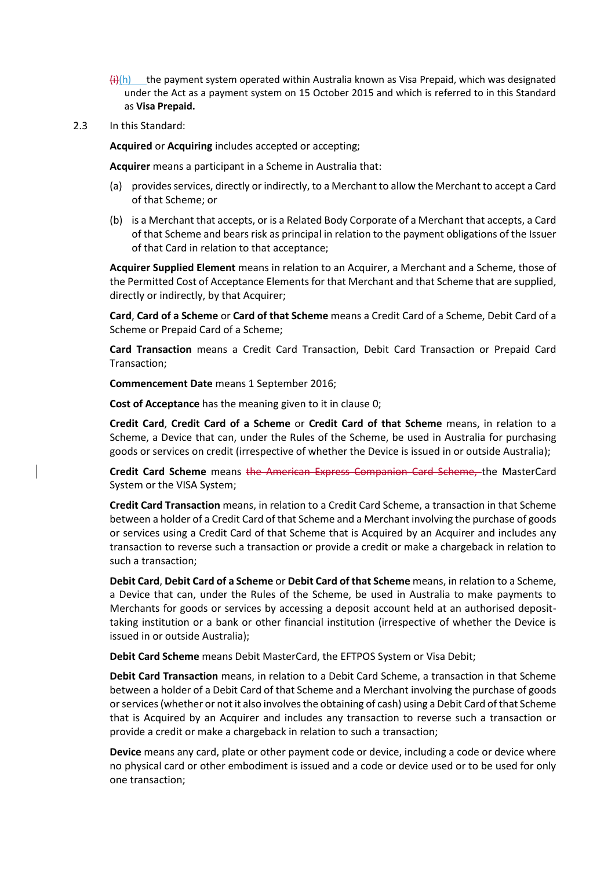- $\frac{f_i}{h}$ ) the payment system operated within Australia known as Visa Prepaid, which was designated under the Act as a payment system on 15 October 2015 and which is referred to in this Standard as **Visa Prepaid.**
- 2.3 In this Standard:

**Acquired** or **Acquiring** includes accepted or accepting;

**Acquirer** means a participant in a Scheme in Australia that:

- (a) provides services, directly or indirectly, to a Merchant to allow the Merchant to accept a Card of that Scheme; or
- (b) is a Merchant that accepts, or is a Related Body Corporate of a Merchant that accepts, a Card of that Scheme and bears risk as principal in relation to the payment obligations of the Issuer of that Card in relation to that acceptance;

**Acquirer Supplied Element** means in relation to an Acquirer, a Merchant and a Scheme, those of the Permitted Cost of Acceptance Elements for that Merchant and that Scheme that are supplied, directly or indirectly, by that Acquirer;

**Card**, **Card of a Scheme** or **Card of that Scheme** means a Credit Card of a Scheme, Debit Card of a Scheme or Prepaid Card of a Scheme;

**Card Transaction** means a Credit Card Transaction, Debit Card Transaction or Prepaid Card Transaction;

**Commencement Date** means 1 September 2016;

**Cost of Acceptance** has the meaning given to it in claus[e 0;](#page-30-0)

**Credit Card**, **Credit Card of a Scheme** or **Credit Card of that Scheme** means, in relation to a Scheme, a Device that can, under the Rules of the Scheme, be used in Australia for purchasing goods or services on credit (irrespective of whether the Device is issued in or outside Australia);

**Credit Card Scheme** means the American Express Companion Card Scheme, the MasterCard System or the VISA System;

**Credit Card Transaction** means, in relation to a Credit Card Scheme, a transaction in that Scheme between a holder of a Credit Card of that Scheme and a Merchant involving the purchase of goods or services using a Credit Card of that Scheme that is Acquired by an Acquirer and includes any transaction to reverse such a transaction or provide a credit or make a chargeback in relation to such a transaction;

**Debit Card**, **Debit Card of a Scheme** or **Debit Card of that Scheme** means, in relation to a Scheme, a Device that can, under the Rules of the Scheme, be used in Australia to make payments to Merchants for goods or services by accessing a deposit account held at an authorised deposittaking institution or a bank or other financial institution (irrespective of whether the Device is issued in or outside Australia);

**Debit Card Scheme** means Debit MasterCard, the EFTPOS System or Visa Debit;

**Debit Card Transaction** means, in relation to a Debit Card Scheme, a transaction in that Scheme between a holder of a Debit Card of that Scheme and a Merchant involving the purchase of goods or services (whether or not it also involves the obtaining of cash) using a Debit Card of that Scheme that is Acquired by an Acquirer and includes any transaction to reverse such a transaction or provide a credit or make a chargeback in relation to such a transaction;

**Device** means any card, plate or other payment code or device, including a code or device where no physical card or other embodiment is issued and a code or device used or to be used for only one transaction;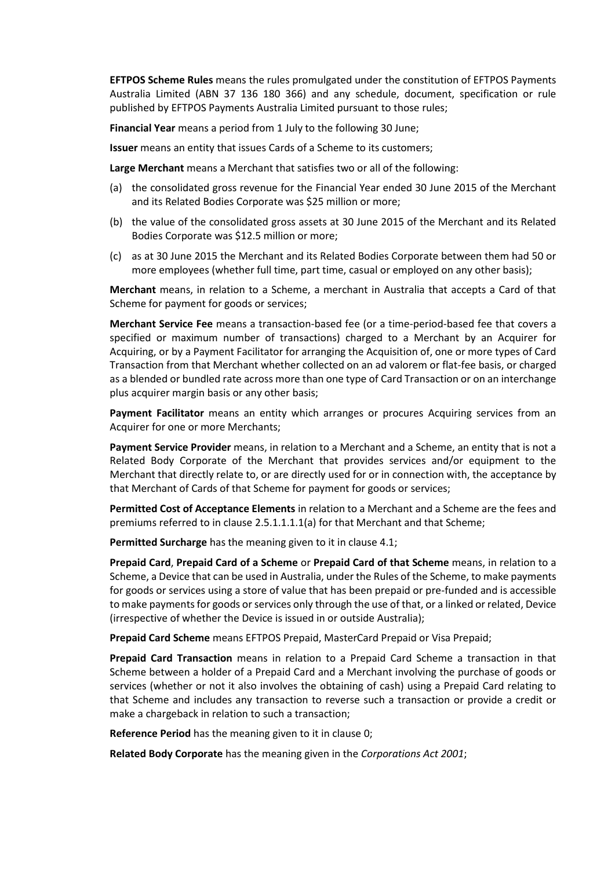**EFTPOS Scheme Rules** means the rules promulgated under the constitution of EFTPOS Payments Australia Limited (ABN 37 136 180 366) and any schedule, document, specification or rule published by EFTPOS Payments Australia Limited pursuant to those rules;

**Financial Year** means a period from 1 July to the following 30 June;

**Issuer** means an entity that issues Cards of a Scheme to its customers;

**Large Merchant** means a Merchant that satisfies two or all of the following:

- (a) the consolidated gross revenue for the Financial Year ended 30 June 2015 of the Merchant and its Related Bodies Corporate was \$25 million or more;
- (b) the value of the consolidated gross assets at 30 June 2015 of the Merchant and its Related Bodies Corporate was \$12.5 million or more;
- (c) as at 30 June 2015 the Merchant and its Related Bodies Corporate between them had 50 or more employees (whether full time, part time, casual or employed on any other basis);

**Merchant** means, in relation to a Scheme, a merchant in Australia that accepts a Card of that Scheme for payment for goods or services;

**Merchant Service Fee** means a transaction-based fee (or a time-period-based fee that covers a specified or maximum number of transactions) charged to a Merchant by an Acquirer for Acquiring, or by a Payment Facilitator for arranging the Acquisition of, one or more types of Card Transaction from that Merchant whether collected on an ad valorem or flat-fee basis, or charged as a blended or bundled rate across more than one type of Card Transaction or on an interchange plus acquirer margin basis or any other basis;

**Payment Facilitator** means an entity which arranges or procures Acquiring services from an Acquirer for one or more Merchants;

**Payment Service Provider** means, in relation to a Merchant and a Scheme, an entity that is not a Related Body Corporate of the Merchant that provides services and/or equipment to the Merchant that directly relate to, or are directly used for or in connection with, the acceptance by that Merchant of Cards of that Scheme for payment for goods or services;

**Permitted Cost of Acceptance Elements** in relation to a Merchant and a Scheme are the fees and premiums referred to in clause [2.5.1.1.1.1\(a\)](#page-30-1) for that Merchant and that Scheme;

**Permitted Surcharge** has the meaning given to it in clause 4.1;

**Prepaid Card**, **Prepaid Card of a Scheme** or **Prepaid Card of that Scheme** means, in relation to a Scheme, a Device that can be used in Australia, under the Rules of the Scheme, to make payments for goods or services using a store of value that has been prepaid or pre-funded and is accessible to make payments for goods or services only through the use of that, or a linked or related, Device (irrespective of whether the Device is issued in or outside Australia);

**Prepaid Card Scheme** means EFTPOS Prepaid, MasterCard Prepaid or Visa Prepaid;

**Prepaid Card Transaction** means in relation to a Prepaid Card Scheme a transaction in that Scheme between a holder of a Prepaid Card and a Merchant involving the purchase of goods or services (whether or not it also involves the obtaining of cash) using a Prepaid Card relating to that Scheme and includes any transaction to reverse such a transaction or provide a credit or make a chargeback in relation to such a transaction;

**Reference Period** has the meaning given to it in clause [0;](#page-30-2)

**Related Body Corporate** has the meaning given in the *Corporations Act 2001*;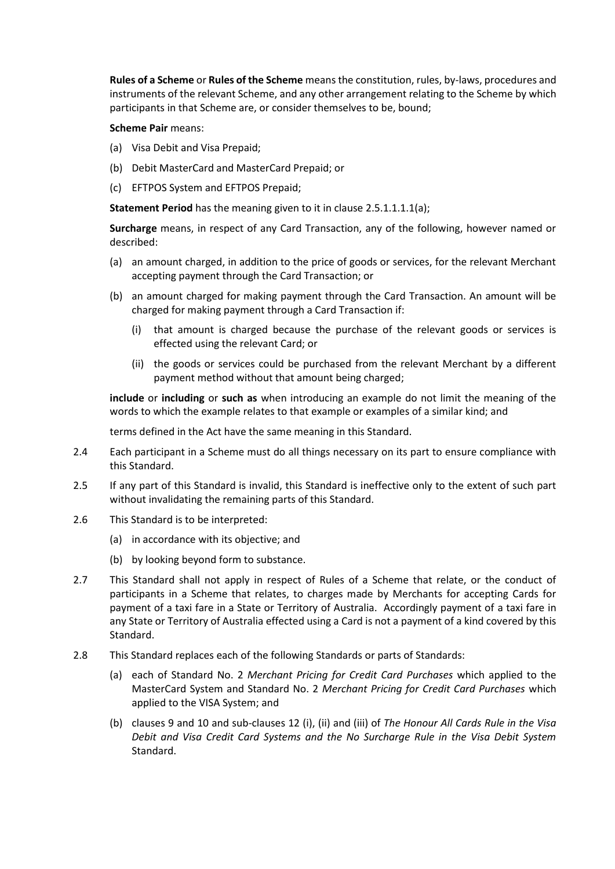**Rules of a Scheme** or **Rules of the Scheme** means the constitution, rules, by-laws, procedures and instruments of the relevant Scheme, and any other arrangement relating to the Scheme by which participants in that Scheme are, or consider themselves to be, bound;

**Scheme Pair** means:

- (a) Visa Debit and Visa Prepaid;
- (b) Debit MasterCard and MasterCard Prepaid; or
- (c) EFTPOS System and EFTPOS Prepaid;

**Statement Period** has the meaning given to it in clause [2.5.1.1.1.1\(a\);](#page-32-0)

**Surcharge** means, in respect of any Card Transaction, any of the following, however named or described:

- (a) an amount charged, in addition to the price of goods or services, for the relevant Merchant accepting payment through the Card Transaction; or
- (b) an amount charged for making payment through the Card Transaction. An amount will be charged for making payment through a Card Transaction if:
	- (i) that amount is charged because the purchase of the relevant goods or services is effected using the relevant Card; or
	- (ii) the goods or services could be purchased from the relevant Merchant by a different payment method without that amount being charged;

**include** or **including** or **such as** when introducing an example do not limit the meaning of the words to which the example relates to that example or examples of a similar kind; and

terms defined in the Act have the same meaning in this Standard.

- 2.4 Each participant in a Scheme must do all things necessary on its part to ensure compliance with this Standard.
- 2.5 If any part of this Standard is invalid, this Standard is ineffective only to the extent of such part without invalidating the remaining parts of this Standard.
- 2.6 This Standard is to be interpreted:
	- (a) in accordance with its objective; and
	- (b) by looking beyond form to substance.
- 2.7 This Standard shall not apply in respect of Rules of a Scheme that relate, or the conduct of participants in a Scheme that relates, to charges made by Merchants for accepting Cards for payment of a taxi fare in a State or Territory of Australia. Accordingly payment of a taxi fare in any State or Territory of Australia effected using a Card is not a payment of a kind covered by this Standard.
- 2.8 This Standard replaces each of the following Standards or parts of Standards:
	- (a) each of Standard No. 2 *Merchant Pricing for Credit Card Purchases* which applied to the MasterCard System and Standard No. 2 *Merchant Pricing for Credit Card Purchases* which applied to the VISA System; and
	- (b) clauses 9 and 10 and sub-clauses 12 (i), (ii) and (iii) of *The Honour All Cards Rule in the Visa Debit and Visa Credit Card Systems and the No Surcharge Rule in the Visa Debit System* Standard.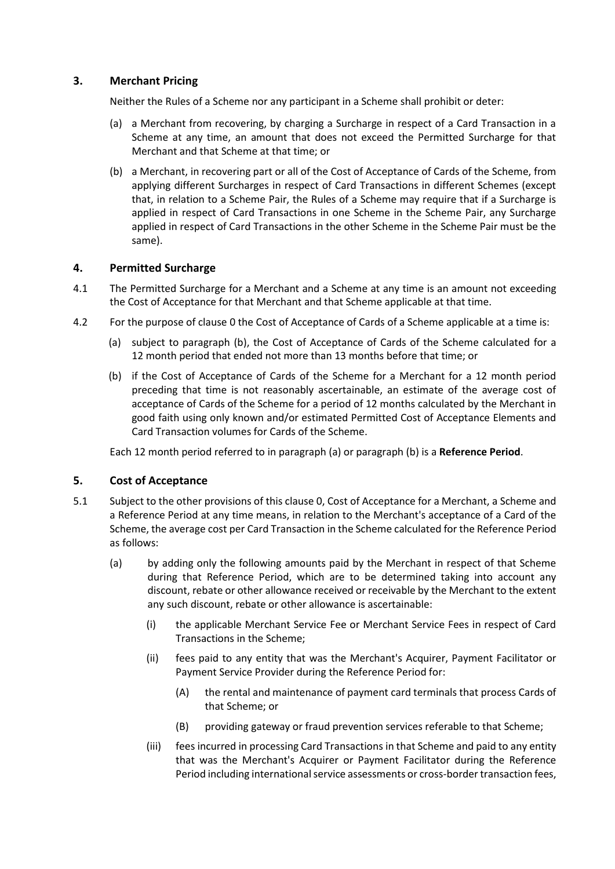# <span id="page-30-7"></span>**3. Merchant Pricing**

Neither the Rules of a Scheme nor any participant in a Scheme shall prohibit or deter:

- (a) a Merchant from recovering, by charging a Surcharge in respect of a Card Transaction in a Scheme at any time, an amount that does not exceed the Permitted Surcharge for that Merchant and that Scheme at that time; or
- (b) a Merchant, in recovering part or all of the Cost of Acceptance of Cards of the Scheme, from applying different Surcharges in respect of Card Transactions in different Schemes (except that, in relation to a Scheme Pair, the Rules of a Scheme may require that if a Surcharge is applied in respect of Card Transactions in one Scheme in the Scheme Pair, any Surcharge applied in respect of Card Transactions in the other Scheme in the Scheme Pair must be the same).

# <span id="page-30-8"></span>**4. Permitted Surcharge**

- <span id="page-30-3"></span>4.1 The Permitted Surcharge for a Merchant and a Scheme at any time is an amount not exceeding the Cost of Acceptance for that Merchant and that Scheme applicable at that time.
- <span id="page-30-5"></span><span id="page-30-4"></span><span id="page-30-2"></span>4.2 For the purpose of clause [0](#page-30-3) the Cost of Acceptance of Cards of a Scheme applicable at a time is:
	- (a) subject to paragraph [\(b\),](#page-30-4) the Cost of Acceptance of Cards of the Scheme calculated for a 12 month period that ended not more than 13 months before that time; or
	- (b) if the Cost of Acceptance of Cards of the Scheme for a Merchant for a 12 month period preceding that time is not reasonably ascertainable, an estimate of the average cost of acceptance of Cards of the Scheme for a period of 12 months calculated by the Merchant in good faith using only known and/or estimated Permitted Cost of Acceptance Elements and Card Transaction volumes for Cards of the Scheme.

Each 12 month period referred to in paragraph [\(a\)](#page-30-5) or paragraph [\(b\)](#page-30-4) is a **Reference Period**.

# <span id="page-30-0"></span>**5. Cost of Acceptance**

- <span id="page-30-6"></span><span id="page-30-1"></span>5.1 Subject to the other provisions of this claus[e 0,](#page-30-0) Cost of Acceptance for a Merchant, a Scheme and a Reference Period at any time means, in relation to the Merchant's acceptance of a Card of the Scheme, the average cost per Card Transaction in the Scheme calculated for the Reference Period as follows:
	- (a) by adding only the following amounts paid by the Merchant in respect of that Scheme during that Reference Period, which are to be determined taking into account any discount, rebate or other allowance received or receivable by the Merchant to the extent any such discount, rebate or other allowance is ascertainable:
		- (i) the applicable Merchant Service Fee or Merchant Service Fees in respect of Card Transactions in the Scheme;
		- (ii) fees paid to any entity that was the Merchant's Acquirer, Payment Facilitator or Payment Service Provider during the Reference Period for:
			- (A) the rental and maintenance of payment card terminals that process Cards of that Scheme; or
			- (B) providing gateway or fraud prevention services referable to that Scheme;
		- (iii) fees incurred in processing Card Transactions in that Scheme and paid to any entity that was the Merchant's Acquirer or Payment Facilitator during the Reference Period including international service assessments or cross-border transaction fees,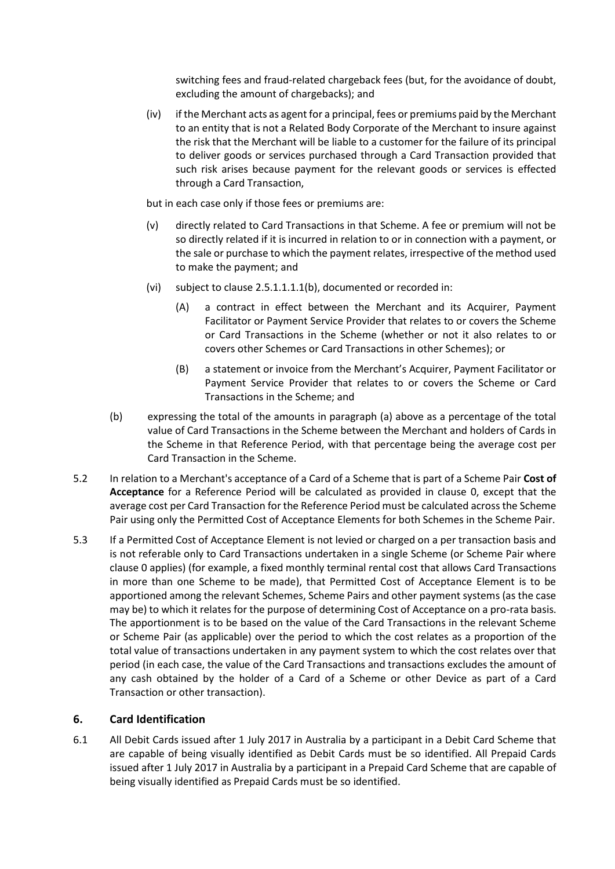switching fees and fraud-related chargeback fees (but, for the avoidance of doubt, excluding the amount of chargebacks); and

(iv) if the Merchant acts as agent for a principal, fees or premiums paid by the Merchant to an entity that is not a Related Body Corporate of the Merchant to insure against the risk that the Merchant will be liable to a customer for the failure of its principal to deliver goods or services purchased through a Card Transaction provided that such risk arises because payment for the relevant goods or services is effected through a Card Transaction,

but in each case only if those fees or premiums are:

- (v) directly related to Card Transactions in that Scheme. A fee or premium will not be so directly related if it is incurred in relation to or in connection with a payment, or the sale or purchase to which the payment relates, irrespective of the method used to make the payment; and
- (vi) subject to clause [2.5.1.1.1.1\(b\),](#page-30-4) documented or recorded in:
	- (A) a contract in effect between the Merchant and its Acquirer, Payment Facilitator or Payment Service Provider that relates to or covers the Scheme or Card Transactions in the Scheme (whether or not it also relates to or covers other Schemes or Card Transactions in other Schemes); or
	- (B) a statement or invoice from the Merchant's Acquirer, Payment Facilitator or Payment Service Provider that relates to or covers the Scheme or Card Transactions in the Scheme; and
- (b) expressing the total of the amounts in paragraph [\(a\)](#page-30-1) above as a percentage of the total value of Card Transactions in the Scheme between the Merchant and holders of Cards in the Scheme in that Reference Period, with that percentage being the average cost per Card Transaction in the Scheme.
- <span id="page-31-0"></span>5.2 In relation to a Merchant's acceptance of a Card of a Scheme that is part of a Scheme Pair **Cost of Acceptance** for a Reference Period will be calculated as provided in clause [0,](#page-30-6) except that the average cost per Card Transaction for the Reference Period must be calculated across the Scheme Pair using only the Permitted Cost of Acceptance Elements for both Schemes in the Scheme Pair.
- 5.3 If a Permitted Cost of Acceptance Element is not levied or charged on a per transaction basis and is not referable only to Card Transactions undertaken in a single Scheme (or Scheme Pair where clause [0](#page-31-0) applies) (for example, a fixed monthly terminal rental cost that allows Card Transactions in more than one Scheme to be made), that Permitted Cost of Acceptance Element is to be apportioned among the relevant Schemes, Scheme Pairs and other payment systems (as the case may be) to which it relates for the purpose of determining Cost of Acceptance on a pro-rata basis. The apportionment is to be based on the value of the Card Transactions in the relevant Scheme or Scheme Pair (as applicable) over the period to which the cost relates as a proportion of the total value of transactions undertaken in any payment system to which the cost relates over that period (in each case, the value of the Card Transactions and transactions excludes the amount of any cash obtained by the holder of a Card of a Scheme or other Device as part of a Card Transaction or other transaction).

# **6. Card Identification**

6.1 All Debit Cards issued after 1 July 2017 in Australia by a participant in a Debit Card Scheme that are capable of being visually identified as Debit Cards must be so identified. All Prepaid Cards issued after 1 July 2017 in Australia by a participant in a Prepaid Card Scheme that are capable of being visually identified as Prepaid Cards must be so identified.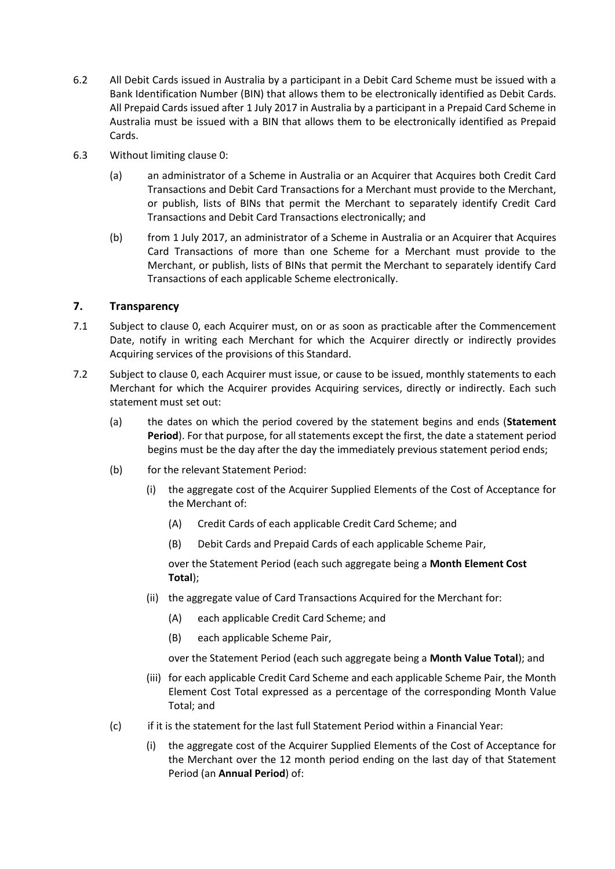- <span id="page-32-1"></span>6.2 All Debit Cards issued in Australia by a participant in a Debit Card Scheme must be issued with a Bank Identification Number (BIN) that allows them to be electronically identified as Debit Cards. All Prepaid Cards issued after 1 July 2017 in Australia by a participant in a Prepaid Card Scheme in Australia must be issued with a BIN that allows them to be electronically identified as Prepaid Cards.
- 6.3 Without limiting clause [0:](#page-32-1)
	- (a) an administrator of a Scheme in Australia or an Acquirer that Acquires both Credit Card Transactions and Debit Card Transactions for a Merchant must provide to the Merchant, or publish, lists of BINs that permit the Merchant to separately identify Credit Card Transactions and Debit Card Transactions electronically; and
	- (b) from 1 July 2017, an administrator of a Scheme in Australia or an Acquirer that Acquires Card Transactions of more than one Scheme for a Merchant must provide to the Merchant, or publish, lists of BINs that permit the Merchant to separately identify Card Transactions of each applicable Scheme electronically.

# **7. Transparency**

- <span id="page-32-4"></span><span id="page-32-2"></span>7.1 Subject to clause [0,](#page-33-0) each Acquirer must, on or as soon as practicable after the Commencement Date, notify in writing each Merchant for which the Acquirer directly or indirectly provides Acquiring services of the provisions of this Standard.
- <span id="page-32-5"></span><span id="page-32-3"></span><span id="page-32-0"></span>7.2 Subject to claus[e 0,](#page-33-0) each Acquirer must issue, or cause to be issued, monthly statements to each Merchant for which the Acquirer provides Acquiring services, directly or indirectly. Each such statement must set out:
	- (a) the dates on which the period covered by the statement begins and ends (**Statement Period**). For that purpose, for all statements except the first, the date a statement period begins must be the day after the day the immediately previous statement period ends;
	- (b) for the relevant Statement Period:
		- (i) the aggregate cost of the Acquirer Supplied Elements of the Cost of Acceptance for the Merchant of:
			- (A) Credit Cards of each applicable Credit Card Scheme; and
			- (B) Debit Cards and Prepaid Cards of each applicable Scheme Pair,

over the Statement Period (each such aggregate being a **Month Element Cost Total**);

- (ii) the aggregate value of Card Transactions Acquired for the Merchant for:
	- (A) each applicable Credit Card Scheme; and
	- (B) each applicable Scheme Pair,

over the Statement Period (each such aggregate being a **Month Value Total**); and

- (iii) for each applicable Credit Card Scheme and each applicable Scheme Pair, the Month Element Cost Total expressed as a percentage of the corresponding Month Value Total; and
- <span id="page-32-6"></span>(c) if it is the statement for the last full Statement Period within a Financial Year:
	- (i) the aggregate cost of the Acquirer Supplied Elements of the Cost of Acceptance for the Merchant over the 12 month period ending on the last day of that Statement Period (an **Annual Period**) of: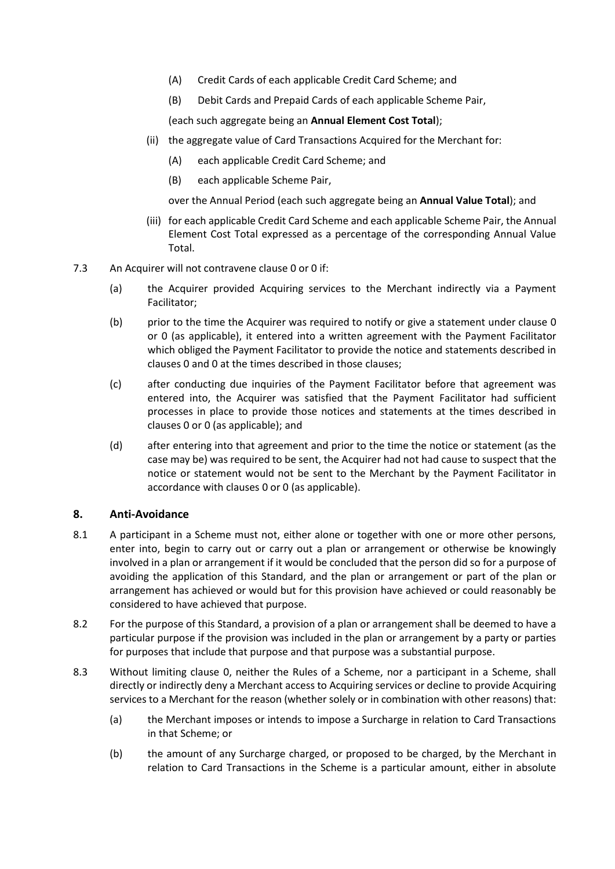- (A) Credit Cards of each applicable Credit Card Scheme; and
- (B) Debit Cards and Prepaid Cards of each applicable Scheme Pair,

(each such aggregate being an **Annual Element Cost Total**);

- (ii) the aggregate value of Card Transactions Acquired for the Merchant for:
	- (A) each applicable Credit Card Scheme; and
	- (B) each applicable Scheme Pair,

over the Annual Period (each such aggregate being an **Annual Value Total**); and

- (iii) for each applicable Credit Card Scheme and each applicable Scheme Pair, the Annual Element Cost Total expressed as a percentage of the corresponding Annual Value Total.
- <span id="page-33-0"></span>7.3 An Acquirer will not contravene clause [0](#page-32-2) or [0](#page-32-3) if:
	- (a) the Acquirer provided Acquiring services to the Merchant indirectly via a Payment Facilitator;
	- (b) prior to the time the Acquirer was required to notify or give a statement under clause [0](#page-32-2) or [0](#page-32-3) (as applicable), it entered into a written agreement with the Payment Facilitator which obliged the Payment Facilitator to provide the notice and statements described in clause[s 0](#page-32-2) and [0](#page-32-3) at the times described in those clauses;
	- (c) after conducting due inquiries of the Payment Facilitator before that agreement was entered into, the Acquirer was satisfied that the Payment Facilitator had sufficient processes in place to provide those notices and statements at the times described in clause[s 0](#page-32-4) or [0](#page-32-3) (as applicable); and
	- (d) after entering into that agreement and prior to the time the notice or statement (as the case may be) was required to be sent, the Acquirer had not had cause to suspect that the notice or statement would not be sent to the Merchant by the Payment Facilitator in accordance with clause[s 0](#page-32-2) or [0](#page-32-3) (as applicable).

# **8. Anti-Avoidance**

- <span id="page-33-1"></span>8.1 A participant in a Scheme must not, either alone or together with one or more other persons, enter into, begin to carry out or carry out a plan or arrangement or otherwise be knowingly involved in a plan or arrangement if it would be concluded that the person did so for a purpose of avoiding the application of this Standard, and the plan or arrangement or part of the plan or arrangement has achieved or would but for this provision have achieved or could reasonably be considered to have achieved that purpose.
- 8.2 For the purpose of this Standard, a provision of a plan or arrangement shall be deemed to have a particular purpose if the provision was included in the plan or arrangement by a party or parties for purposes that include that purpose and that purpose was a substantial purpose.
- 8.3 Without limiting clause [0,](#page-33-1) neither the Rules of a Scheme, nor a participant in a Scheme, shall directly or indirectly deny a Merchant access to Acquiring services or decline to provide Acquiring services to a Merchant for the reason (whether solely or in combination with other reasons) that:
	- (a) the Merchant imposes or intends to impose a Surcharge in relation to Card Transactions in that Scheme; or
	- (b) the amount of any Surcharge charged, or proposed to be charged, by the Merchant in relation to Card Transactions in the Scheme is a particular amount, either in absolute